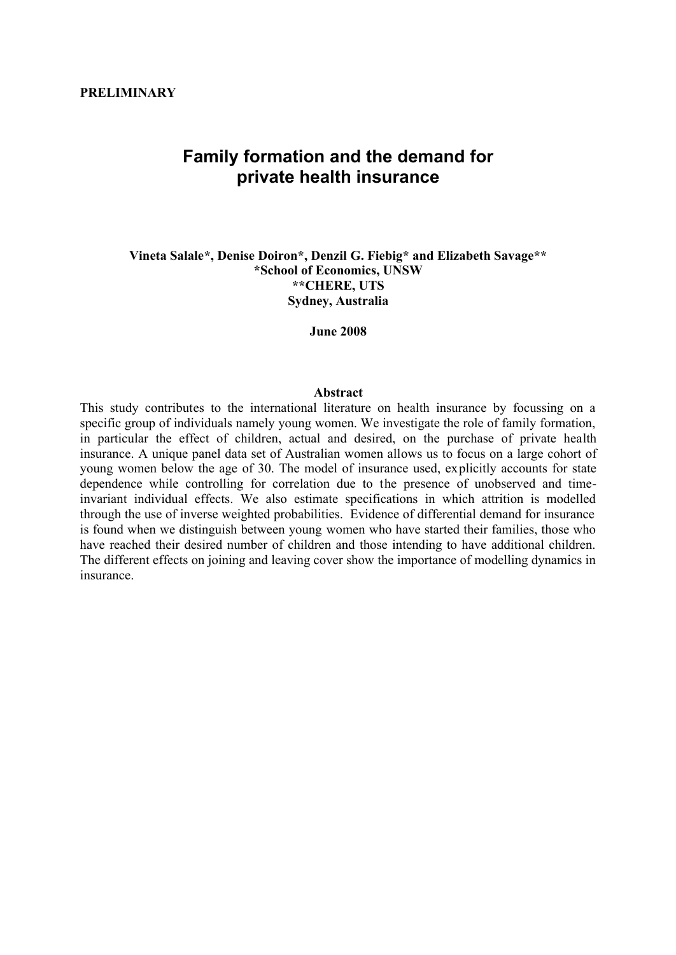### **PRELIMINARY**

# **Family formation and the demand for private health insurance**

**Vineta Salale\*, Denise Doiron\*, Denzil G. Fiebig\* and Elizabeth Savage\*\* \*School of Economics, UNSW \*\*CHERE, UTS Sydney, Australia**

**June 2008**

#### **Abstract**

This study contributes to the international literature on health insurance by focussing on a specific group of individuals namely young women. We investigate the role of family formation, in particular the effect of children, actual and desired, on the purchase of private health insurance. A unique panel data set of Australian women allows us to focus on a large cohort of young women below the age of 30. The model of insurance used, explicitly accounts for state dependence while controlling for correlation due to the presence of unobserved and timeinvariant individual effects. We also estimate specifications in which attrition is modelled through the use of inverse weighted probabilities. Evidence of differential demand for insurance is found when we distinguish between young women who have started their families, those who have reached their desired number of children and those intending to have additional children. The different effects on joining and leaving cover show the importance of modelling dynamics in insurance.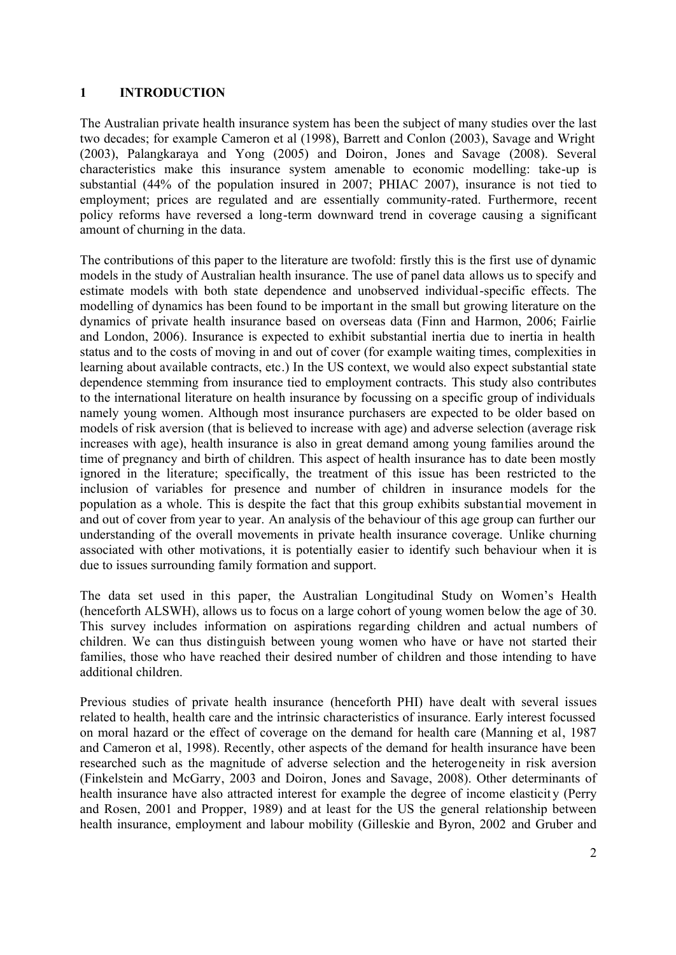# **1 INTRODUCTION**

The Australian private health insurance system has been the subject of many studies over the last two decades; for example Cameron et al (1998), Barrett and Conlon (2003), Savage and Wright (2003), Palangkaraya and Yong (2005) and Doiron, Jones and Savage (2008). Several characteristics make this insurance system amenable to economic modelling: take-up is substantial (44% of the population insured in 2007; PHIAC 2007), insurance is not tied to employment; prices are regulated and are essentially community-rated. Furthermore, recent policy reforms have reversed a long-term downward trend in coverage causing a significant amount of churning in the data.

The contributions of this paper to the literature are twofold: firstly this is the first use of dynamic models in the study of Australian health insurance. The use of panel data allows us to specify and estimate models with both state dependence and unobserved individual-specific effects. The modelling of dynamics has been found to be important in the small but growing literature on the dynamics of private health insurance based on overseas data (Finn and Harmon, 2006; Fairlie and London, 2006). Insurance is expected to exhibit substantial inertia due to inertia in health status and to the costs of moving in and out of cover (for example waiting times, complexities in learning about available contracts, etc.) In the US context, we would also expect substantial state dependence stemming from insurance tied to employment contracts. This study also contributes to the international literature on health insurance by focussing on a specific group of individuals namely young women. Although most insurance purchasers are expected to be older based on models of risk aversion (that is believed to increase with age) and adverse selection (average risk increases with age), health insurance is also in great demand among young families around the time of pregnancy and birth of children. This aspect of health insurance has to date been mostly ignored in the literature; specifically, the treatment of this issue has been restricted to the inclusion of variables for presence and number of children in insurance models for the population as a whole. This is despite the fact that this group exhibits substantial movement in and out of cover from year to year. An analysis of the behaviour of this age group can further our understanding of the overall movements in private health insurance coverage. Unlike churning associated with other motivations, it is potentially easier to identify such behaviour when it is due to issues surrounding family formation and support.

The data set used in this paper, the Australian Longitudinal Study on Women's Health (henceforth ALSWH), allows us to focus on a large cohort of young women below the age of 30. This survey includes information on aspirations regarding children and actual numbers of children. We can thus distinguish between young women who have or have not started their families, those who have reached their desired number of children and those intending to have additional children.

Previous studies of private health insurance (henceforth PHI) have dealt with several issues related to health, health care and the intrinsic characteristics of insurance. Early interest focussed on moral hazard or the effect of coverage on the demand for health care (Manning et al, 1987 and Cameron et al, 1998). Recently, other aspects of the demand for health insurance have been researched such as the magnitude of adverse selection and the heterogeneity in risk aversion (Finkelstein and McGarry, 2003 and Doiron, Jones and Savage, 2008). Other determinants of health insurance have also attracted interest for example the degree of income elasticity (Perry and Rosen, 2001 and Propper, 1989) and at least for the US the general relationship between health insurance, employment and labour mobility (Gilleskie and Byron, 2002 and Gruber and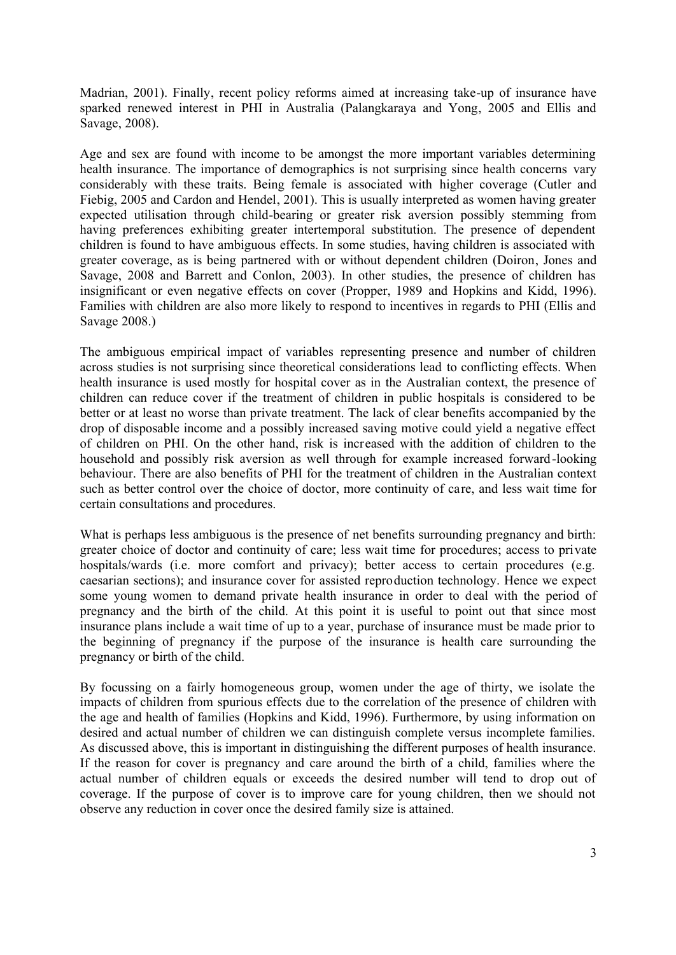Madrian, 2001). Finally, recent policy reforms aimed at increasing take-up of insurance have sparked renewed interest in PHI in Australia (Palangkaraya and Yong, 2005 and Ellis and Savage, 2008).

Age and sex are found with income to be amongst the more important variables determining health insurance. The importance of demographics is not surprising since health concerns vary considerably with these traits. Being female is associated with higher coverage (Cutler and Fiebig, 2005 and Cardon and Hendel, 2001). This is usually interpreted as women having greater expected utilisation through child-bearing or greater risk aversion possibly stemming from having preferences exhibiting greater intertemporal substitution. The presence of dependent children is found to have ambiguous effects. In some studies, having children is associated with greater coverage, as is being partnered with or without dependent children (Doiron, Jones and Savage, 2008 and Barrett and Conlon, 2003). In other studies, the presence of children has insignificant or even negative effects on cover (Propper, 1989 and Hopkins and Kidd, 1996). Families with children are also more likely to respond to incentives in regards to PHI (Ellis and Savage 2008.)

The ambiguous empirical impact of variables representing presence and number of children across studies is not surprising since theoretical considerations lead to conflicting effects. When health insurance is used mostly for hospital cover as in the Australian context, the presence of children can reduce cover if the treatment of children in public hospitals is considered to be better or at least no worse than private treatment. The lack of clear benefits accompanied by the drop of disposable income and a possibly increased saving motive could yield a negative effect of children on PHI. On the other hand, risk is increased with the addition of children to the household and possibly risk aversion as well through for example increased forward-looking behaviour. There are also benefits of PHI for the treatment of children in the Australian context such as better control over the choice of doctor, more continuity of care, and less wait time for certain consultations and procedures.

What is perhaps less ambiguous is the presence of net benefits surrounding pregnancy and birth: greater choice of doctor and continuity of care; less wait time for procedures; access to private hospitals/wards (i.e. more comfort and privacy); better access to certain procedures (e.g. caesarian sections); and insurance cover for assisted reproduction technology. Hence we expect some young women to demand private health insurance in order to deal with the period of pregnancy and the birth of the child. At this point it is useful to point out that since most insurance plans include a wait time of up to a year, purchase of insurance must be made prior to the beginning of pregnancy if the purpose of the insurance is health care surrounding the pregnancy or birth of the child.

By focussing on a fairly homogeneous group, women under the age of thirty, we isolate the impacts of children from spurious effects due to the correlation of the presence of children with the age and health of families (Hopkins and Kidd, 1996). Furthermore, by using information on desired and actual number of children we can distinguish complete versus incomplete families. As discussed above, this is important in distinguishing the different purposes of health insurance. If the reason for cover is pregnancy and care around the birth of a child, families where the actual number of children equals or exceeds the desired number will tend to drop out of coverage. If the purpose of cover is to improve care for young children, then we should not observe any reduction in cover once the desired family size is attained.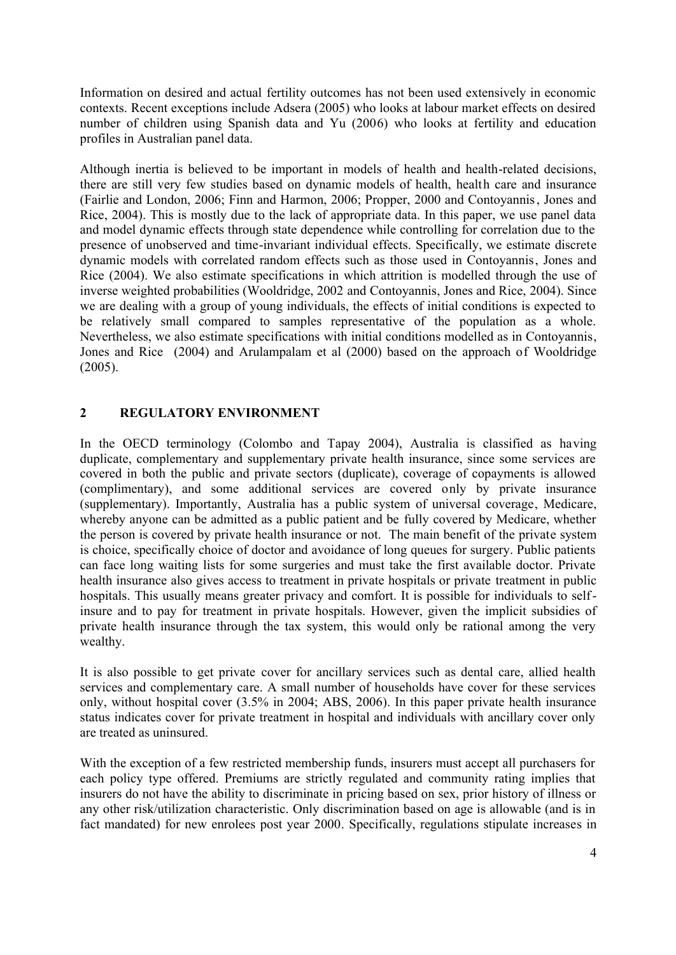Information on desired and actual fertility outcomes has not been used extensively in economic contexts. Recent exceptions include Adsera (2005) who looks at labour market effects on desired number of children using Spanish data and Yu (2006) who looks at fertility and education profiles in Australian panel data.

Although inertia is believed to be important in models of health and health-related decisions, there are still very few studies based on dynamic models of health, health care and insurance (Fairlie and London, 2006; Finn and Harmon, 2006; Propper, 2000 and Contoyannis, Jones and Rice, 2004). This is mostly due to the lack of appropriate data. In this paper, we use panel data and model dynamic effects through state dependence while controlling for correlation due to the presence of unobserved and time-invariant individual effects. Specifically, we estimate discrete dynamic models with correlated random effects such as those used in Contoyannis, Jones and Rice (2004). We also estimate specifications in which attrition is modelled through the use of inverse weighted probabilities (Wooldridge, 2002 and Contoyannis, Jones and Rice, 2004). Since we are dealing with a group of young individuals, the effects of initial conditions is expected to be relatively small compared to samples representative of the population as a whole. Nevertheless, we also estimate specifications with initial conditions modelled as in Contoyannis, Jones and Rice (2004) and Arulampalam et al (2000) based on the approach of Wooldridge (2005).

# **2 REGULATORY ENVIRONMENT**

In the OECD terminology (Colombo and Tapay 2004), Australia is classified as having duplicate, complementary and supplementary private health insurance, since some services are covered in both the public and private sectors (duplicate), coverage of copayments is allowed (complimentary), and some additional services are covered only by private insurance (supplementary). Importantly, Australia has a public system of universal coverage, Medicare, whereby anyone can be admitted as a public patient and be fully covered by Medicare, whether the person is covered by private health insurance or not. The main benefit of the private system is choice, specifically choice of doctor and avoidance of long queues for surgery. Public patients can face long waiting lists for some surgeries and must take the first available doctor. Private health insurance also gives access to treatment in private hospitals or private treatment in public hospitals. This usually means greater privacy and comfort. It is possible for individuals to selfinsure and to pay for treatment in private hospitals. However, given the implicit subsidies of private health insurance through the tax system, this would only be rational among the very wealthy.

It is also possible to get private cover for ancillary services such as dental care, allied health services and complementary care. A small number of households have cover for these services only, without hospital cover (3.5% in 2004; ABS, 2006). In this paper private health insurance status indicates cover for private treatment in hospital and individuals with ancillary cover only are treated as uninsured.

With the exception of a few restricted membership funds, insurers must accept all purchasers for each policy type offered. Premiums are strictly regulated and community rating implies that insurers do not have the ability to discriminate in pricing based on sex, prior history of illness or any other risk/utilization characteristic. Only discrimination based on age is allowable (and is in fact mandated) for new enrolees post year 2000. Specifically, regulations stipulate increases in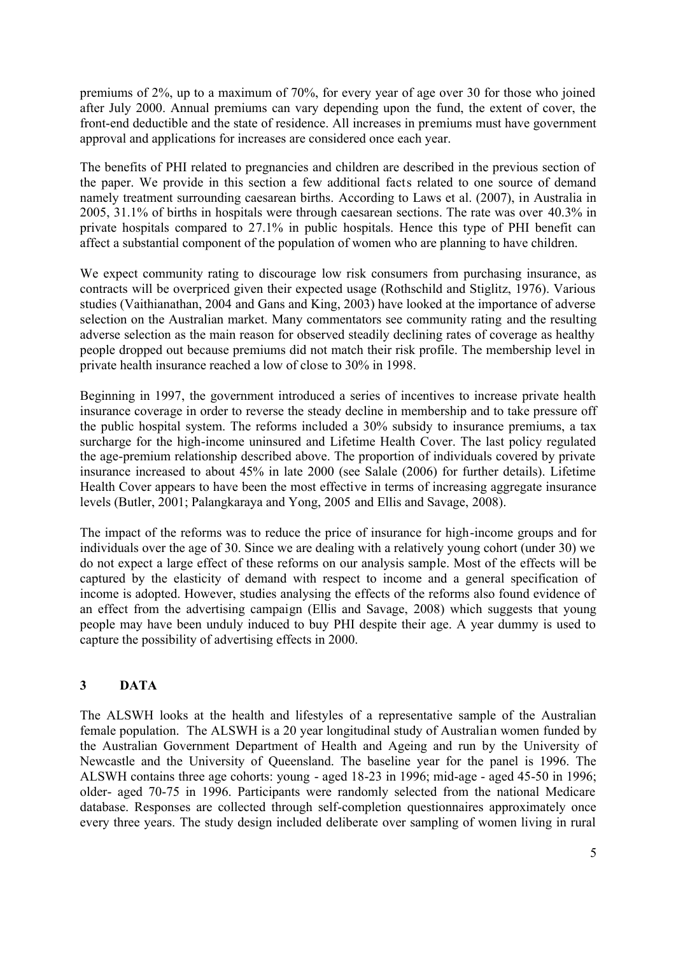premiums of 2%, up to a maximum of 70%, for every year of age over 30 for those who joined after July 2000. Annual premiums can vary depending upon the fund, the extent of cover, the front-end deductible and the state of residence. All increases in premiums must have government approval and applications for increases are considered once each year.

The benefits of PHI related to pregnancies and children are described in the previous section of the paper. We provide in this section a few additional facts related to one source of demand namely treatment surrounding caesarean births. According to Laws et al. (2007), in Australia in 2005, 31.1% of births in hospitals were through caesarean sections. The rate was over 40.3% in private hospitals compared to 27.1% in public hospitals. Hence this type of PHI benefit can affect a substantial component of the population of women who are planning to have children.

We expect community rating to discourage low risk consumers from purchasing insurance, as contracts will be overpriced given their expected usage (Rothschild and Stiglitz, 1976). Various studies (Vaithianathan, 2004 and Gans and King, 2003) have looked at the importance of adverse selection on the Australian market. Many commentators see community rating and the resulting adverse selection as the main reason for observed steadily declining rates of coverage as healthy people dropped out because premiums did not match their risk profile. The membership level in private health insurance reached a low of close to 30% in 1998.

Beginning in 1997, the government introduced a series of incentives to increase private health insurance coverage in order to reverse the steady decline in membership and to take pressure off the public hospital system. The reforms included a 30% subsidy to insurance premiums, a tax surcharge for the high-income uninsured and Lifetime Health Cover. The last policy regulated the age-premium relationship described above. The proportion of individuals covered by private insurance increased to about 45% in late 2000 (see Salale (2006) for further details). Lifetime Health Cover appears to have been the most effective in terms of increasing aggregate insurance levels (Butler, 2001; Palangkaraya and Yong, 2005 and Ellis and Savage, 2008).

The impact of the reforms was to reduce the price of insurance for high-income groups and for individuals over the age of 30. Since we are dealing with a relatively young cohort (under 30) we do not expect a large effect of these reforms on our analysis sample. Most of the effects will be captured by the elasticity of demand with respect to income and a general specification of income is adopted. However, studies analysing the effects of the reforms also found evidence of an effect from the advertising campaign (Ellis and Savage, 2008) which suggests that young people may have been unduly induced to buy PHI despite their age. A year dummy is used to capture the possibility of advertising effects in 2000.

# **3 DATA**

The ALSWH looks at the health and lifestyles of a representative sample of the Australian female population. The ALSWH is a 20 year longitudinal study of Australian women funded by the Australian Government Department of Health and Ageing and run by the University of Newcastle and the University of Queensland. The baseline year for the panel is 1996. The ALSWH contains three age cohorts: young - aged 18-23 in 1996; mid-age - aged 45-50 in 1996; older- aged 70-75 in 1996. Participants were randomly selected from the national Medicare database. Responses are collected through self-completion questionnaires approximately once every three years. The study design included deliberate over sampling of women living in rural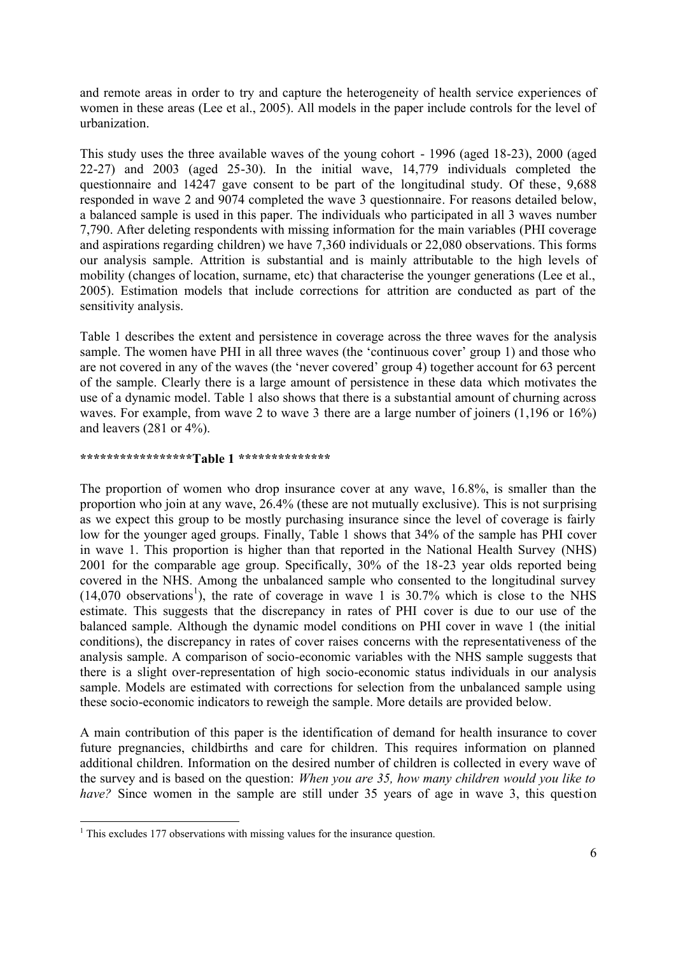and remote areas in order to try and capture the heterogeneity of health service experiences of women in these areas (Lee et al., 2005). All models in the paper include controls for the level of urbanization.

This study uses the three available waves of the young cohort - 1996 (aged 18-23), 2000 (aged 22-27) and 2003 (aged 25-30). In the initial wave, 14,779 individuals completed the questionnaire and 14247 gave consent to be part of the longitudinal study. Of these, 9,688 responded in wave 2 and 9074 completed the wave 3 questionnaire. For reasons detailed below, a balanced sample is used in this paper. The individuals who participated in all 3 waves number 7,790. After deleting respondents with missing information for the main variables (PHI coverage and aspirations regarding children) we have 7,360 individuals or 22,080 observations. This forms our analysis sample. Attrition is substantial and is mainly attributable to the high levels of mobility (changes of location, surname, etc) that characterise the younger generations (Lee et al., 2005). Estimation models that include corrections for attrition are conducted as part of the sensitivity analysis.

Table 1 describes the extent and persistence in coverage across the three waves for the analysis sample. The women have PHI in all three waves (the 'continuous cover' group 1) and those who are not covered in any of the waves (the 'never covered' group 4) together account for 63 percent of the sample. Clearly there is a large amount of persistence in these data which motivates the use of a dynamic model. Table 1 also shows that there is a substantial amount of churning across waves. For example, from wave 2 to wave 3 there are a large number of joiners (1,196 or 16%) and leavers (281 or 4%).

### **\*\*\*\*\*\*\*\*\*\*\*\*\*\*\*\*\*Table 1 \*\*\*\*\*\*\*\*\*\*\*\*\*\***

The proportion of women who drop insurance cover at any wave, 16.8%, is smaller than the proportion who join at any wave, 26.4% (these are not mutually exclusive). This is not surprising as we expect this group to be mostly purchasing insurance since the level of coverage is fairly low for the younger aged groups. Finally, Table 1 shows that 34% of the sample has PHI cover in wave 1. This proportion is higher than that reported in the National Health Survey (NHS) 2001 for the comparable age group. Specifically, 30% of the 18-23 year olds reported being covered in the NHS. Among the unbalanced sample who consented to the longitudinal survey  $(14,070)$  observations<sup>1</sup>), the rate of coverage in wave 1 is 30.7% which is close to the NHS estimate. This suggests that the discrepancy in rates of PHI cover is due to our use of the balanced sample. Although the dynamic model conditions on PHI cover in wave 1 (the initial conditions), the discrepancy in rates of cover raises concerns with the representativeness of the analysis sample. A comparison of socio-economic variables with the NHS sample suggests that there is a slight over-representation of high socio-economic status individuals in our analysis sample. Models are estimated with corrections for selection from the unbalanced sample using these socio-economic indicators to reweigh the sample. More details are provided below.

A main contribution of this paper is the identification of demand for health insurance to cover future pregnancies, childbirths and care for children. This requires information on planned additional children. Information on the desired number of children is collected in every wave of the survey and is based on the question: *When you are 35, how many children would you like to have?* Since women in the sample are still under 35 years of age in wave 3, this question

 $\overline{a}$  $1$ <sup>1</sup> This excludes 177 observations with missing values for the insurance question.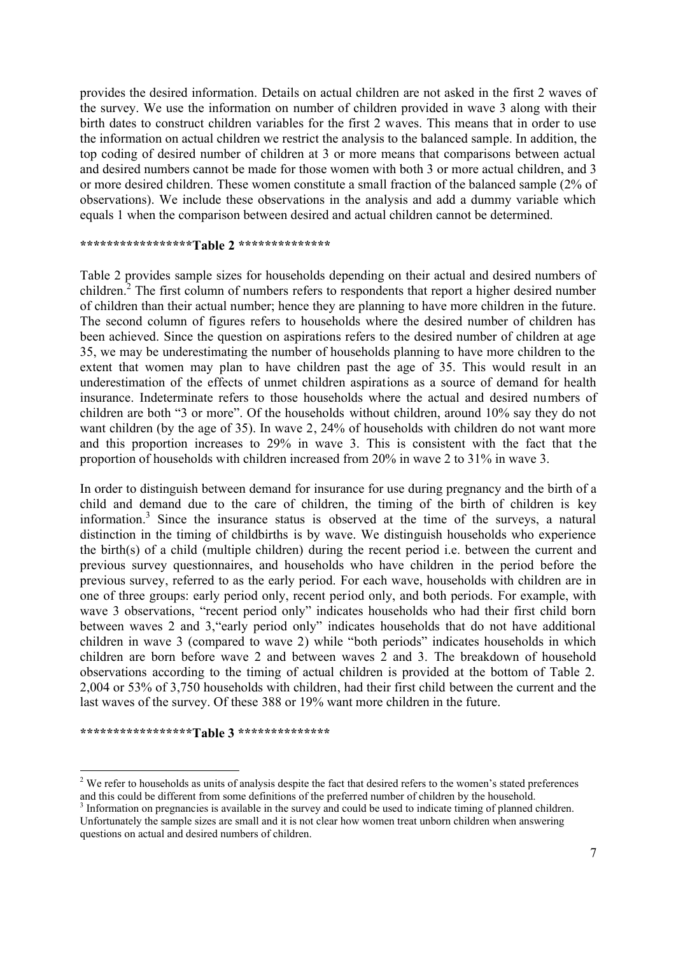provides the desired information. Details on actual children are not asked in the first 2 waves of the survey. We use the information on number of children provided in wave 3 along with their birth dates to construct children variables for the first 2 waves. This means that in order to use the information on actual children we restrict the analysis to the balanced sample. In addition, the top coding of desired number of children at 3 or more means that comparisons between actual and desired numbers cannot be made for those women with both 3 or more actual children, and 3 or more desired children. These women constitute a small fraction of the balanced sample (2% of observations). We include these observations in the analysis and add a dummy variable which equals 1 when the comparison between desired and actual children cannot be determined.

#### **\*\*\*\*\*\*\*\*\*\*\*\*\*\*\*\*\*Table 2 \*\*\*\*\*\*\*\*\*\*\*\*\*\***

Table 2 provides sample sizes for households depending on their actual and desired numbers of children.<sup>2</sup> The first column of numbers refers to respondents that report a higher desired number of children than their actual number; hence they are planning to have more children in the future. The second column of figures refers to households where the desired number of children has been achieved. Since the question on aspirations refers to the desired number of children at age 35, we may be underestimating the number of households planning to have more children to the extent that women may plan to have children past the age of 35. This would result in an underestimation of the effects of unmet children aspirations as a source of demand for health insurance. Indeterminate refers to those households where the actual and desired numbers of children are both "3 or more". Of the households without children, around 10% say they do not want children (by the age of 35). In wave 2, 24% of households with children do not want more and this proportion increases to 29% in wave 3. This is consistent with the fact that the proportion of households with children increased from 20% in wave 2 to 31% in wave 3.

In order to distinguish between demand for insurance for use during pregnancy and the birth of a child and demand due to the care of children, the timing of the birth of children is key information.<sup>3</sup> Since the insurance status is observed at the time of the surveys, a natural distinction in the timing of childbirths is by wave. We distinguish households who experience the birth(s) of a child (multiple children) during the recent period i.e. between the current and previous survey questionnaires, and households who have children in the period before the previous survey, referred to as the early period. For each wave, households with children are in one of three groups: early period only, recent period only, and both periods. For example, with wave 3 observations, "recent period only" indicates households who had their first child born between waves 2 and 3,"early period only" indicates households that do not have additional children in wave 3 (compared to wave 2) while "both periods" indicates households in which children are born before wave 2 and between waves 2 and 3. The breakdown of household observations according to the timing of actual children is provided at the bottom of Table 2. 2,004 or 53% of 3,750 households with children, had their first child between the current and the last waves of the survey. Of these 388 or 19% want more children in the future.

#### **\*\*\*\*\*\*\*\*\*\*\*\*\*\*\*\*\*Table 3 \*\*\*\*\*\*\*\*\*\*\*\*\*\***

<sup>&</sup>lt;sup>2</sup> We refer to households as units of analysis despite the fact that desired refers to the women's stated preferences and this could be different from some definitions of the preferred number of children by the household.  $3$  Information on pregnancies is available in the survey and could be used to indicate timing of planned children. Unfortunately the sample sizes are small and it is not clear how women treat unborn children when answering questions on actual and desired numbers of children.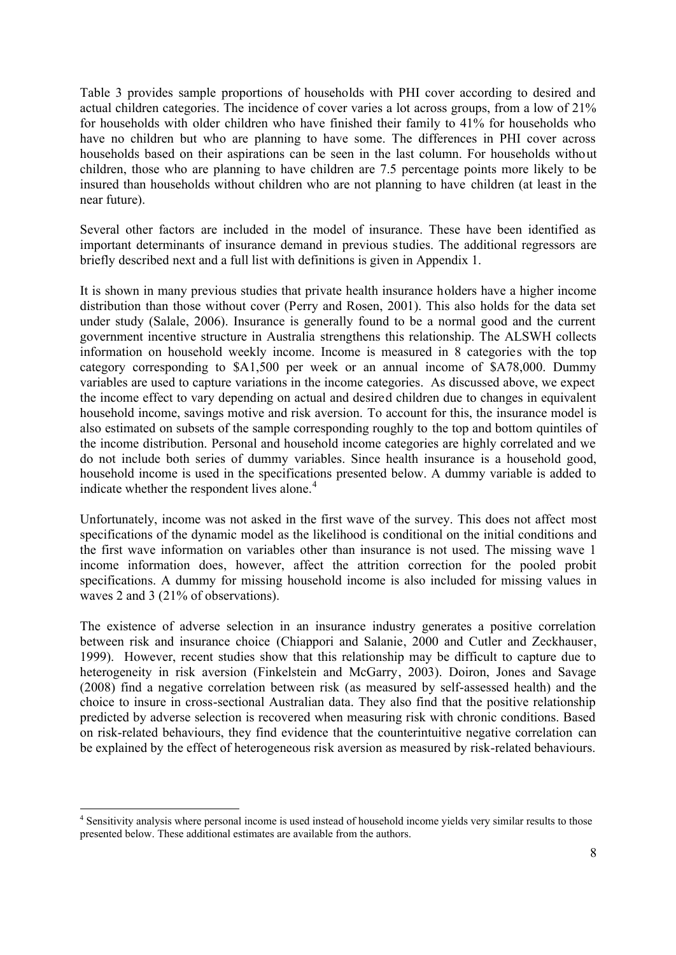Table 3 provides sample proportions of households with PHI cover according to desired and actual children categories. The incidence of cover varies a lot across groups, from a low of 21% for households with older children who have finished their family to 41% for households who have no children but who are planning to have some. The differences in PHI cover across households based on their aspirations can be seen in the last column. For households without children, those who are planning to have children are 7.5 percentage points more likely to be insured than households without children who are not planning to have children (at least in the near future).

Several other factors are included in the model of insurance. These have been identified as important determinants of insurance demand in previous studies. The additional regressors are briefly described next and a full list with definitions is given in Appendix 1.

It is shown in many previous studies that private health insurance holders have a higher income distribution than those without cover (Perry and Rosen, 2001). This also holds for the data set under study (Salale, 2006). Insurance is generally found to be a normal good and the current government incentive structure in Australia strengthens this relationship. The ALSWH collects information on household weekly income. Income is measured in 8 categories with the top category corresponding to \$A1,500 per week or an annual income of \$A78,000. Dummy variables are used to capture variations in the income categories. As discussed above, we expect the income effect to vary depending on actual and desired children due to changes in equivalent household income, savings motive and risk aversion. To account for this, the insurance model is also estimated on subsets of the sample corresponding roughly to the top and bottom quintiles of the income distribution. Personal and household income categories are highly correlated and we do not include both series of dummy variables. Since health insurance is a household good, household income is used in the specifications presented below. A dummy variable is added to indicate whether the respondent lives alone.<sup>4</sup>

Unfortunately, income was not asked in the first wave of the survey. This does not affect most specifications of the dynamic model as the likelihood is conditional on the initial conditions and the first wave information on variables other than insurance is not used. The missing wave 1 income information does, however, affect the attrition correction for the pooled probit specifications. A dummy for missing household income is also included for missing values in waves 2 and 3 (21% of observations).

The existence of adverse selection in an insurance industry generates a positive correlation between risk and insurance choice (Chiappori and Salanie, 2000 and Cutler and Zeckhauser, 1999). However, recent studies show that this relationship may be difficult to capture due to heterogeneity in risk aversion (Finkelstein and McGarry, 2003). Doiron, Jones and Savage (2008) find a negative correlation between risk (as measured by self-assessed health) and the choice to insure in cross-sectional Australian data. They also find that the positive relationship predicted by adverse selection is recovered when measuring risk with chronic conditions. Based on risk-related behaviours, they find evidence that the counterintuitive negative correlation can be explained by the effect of heterogeneous risk aversion as measured by risk-related behaviours.

 <sup>4</sup> Sensitivity analysis where personal income is used instead of household income yields very similar results to those presented below. These additional estimates are available from the authors.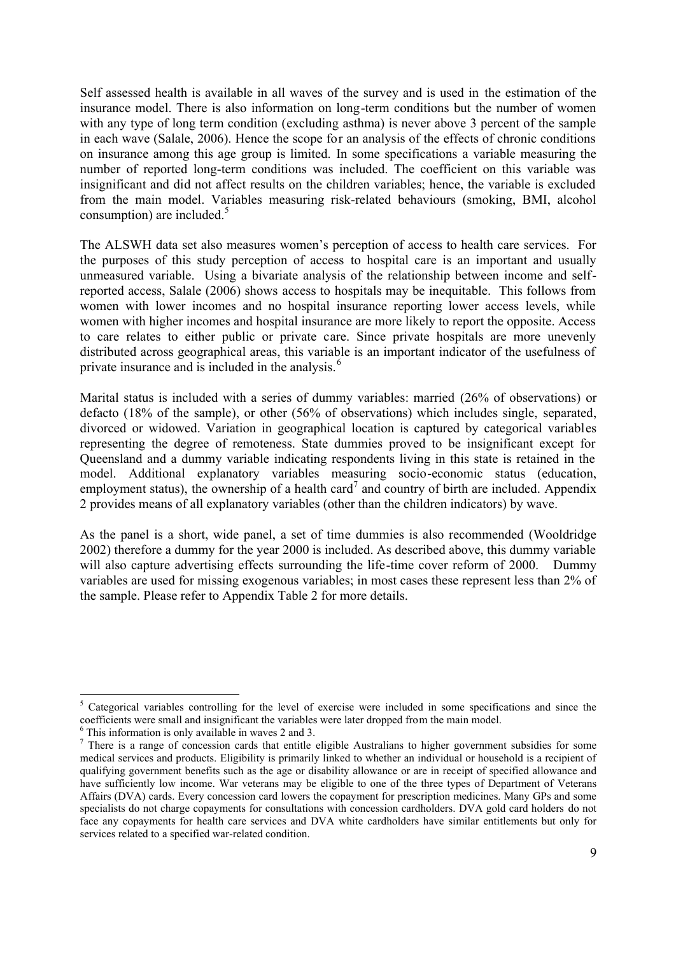Self assessed health is available in all waves of the survey and is used in the estimation of the insurance model. There is also information on long-term conditions but the number of women with any type of long term condition (excluding asthma) is never above 3 percent of the sample in each wave (Salale, 2006). Hence the scope for an analysis of the effects of chronic conditions on insurance among this age group is limited. In some specifications a variable measuring the number of reported long-term conditions was included. The coefficient on this variable was insignificant and did not affect results on the children variables; hence, the variable is excluded from the main model. Variables measuring risk-related behaviours (smoking, BMI, alcohol consumption) are included. $5$ 

The ALSWH data set also measures women's perception of access to health care services. For the purposes of this study perception of access to hospital care is an important and usually unmeasured variable. Using a bivariate analysis of the relationship between income and selfreported access, Salale (2006) shows access to hospitals may be inequitable. This follows from women with lower incomes and no hospital insurance reporting lower access levels, while women with higher incomes and hospital insurance are more likely to report the opposite. Access to care relates to either public or private care. Since private hospitals are more unevenly distributed across geographical areas, this variable is an important indicator of the usefulness of private insurance and is included in the analysis.<sup>6</sup>

Marital status is included with a series of dummy variables: married (26% of observations) or defacto (18% of the sample), or other (56% of observations) which includes single, separated, divorced or widowed. Variation in geographical location is captured by categorical variables representing the degree of remoteness. State dummies proved to be insignificant except for Queensland and a dummy variable indicating respondents living in this state is retained in the model. Additional explanatory variables measuring socio-economic status (education, employment status), the ownership of a health card<sup>7</sup> and country of birth are included. Appendix 2 provides means of all explanatory variables (other than the children indicators) by wave.

As the panel is a short, wide panel, a set of time dummies is also recommended (Wooldridge 2002) therefore a dummy for the year 2000 is included. As described above, this dummy variable will also capture advertising effects surrounding the life-time cover reform of 2000. Dummy variables are used for missing exogenous variables; in most cases these represent less than 2% of the sample. Please refer to Appendix Table 2 for more details.

<sup>&</sup>lt;sup>5</sup> Categorical variables controlling for the level of exercise were included in some specifications and since the coefficients were small and insignificant the variables were later dropped from the main model.

 $6$  This information is only available in waves 2 and 3.

 $<sup>7</sup>$  There is a range of concession cards that entitle eligible Australians to higher government subsidies for some</sup> medical services and products. Eligibility is primarily linked to whether an individual or household is a recipient of qualifying government benefits such as the age or disability allowance or are in receipt of specified allowance and have sufficiently low income. War veterans may be eligible to one of the three types of Department of Veterans Affairs (DVA) cards. Every concession card lowers the copayment for prescription medicines. Many GPs and some specialists do not charge copayments for consultations with concession cardholders. DVA gold card holders do not face any copayments for health care services and DVA white cardholders have similar entitlements but only for services related to a specified war-related condition.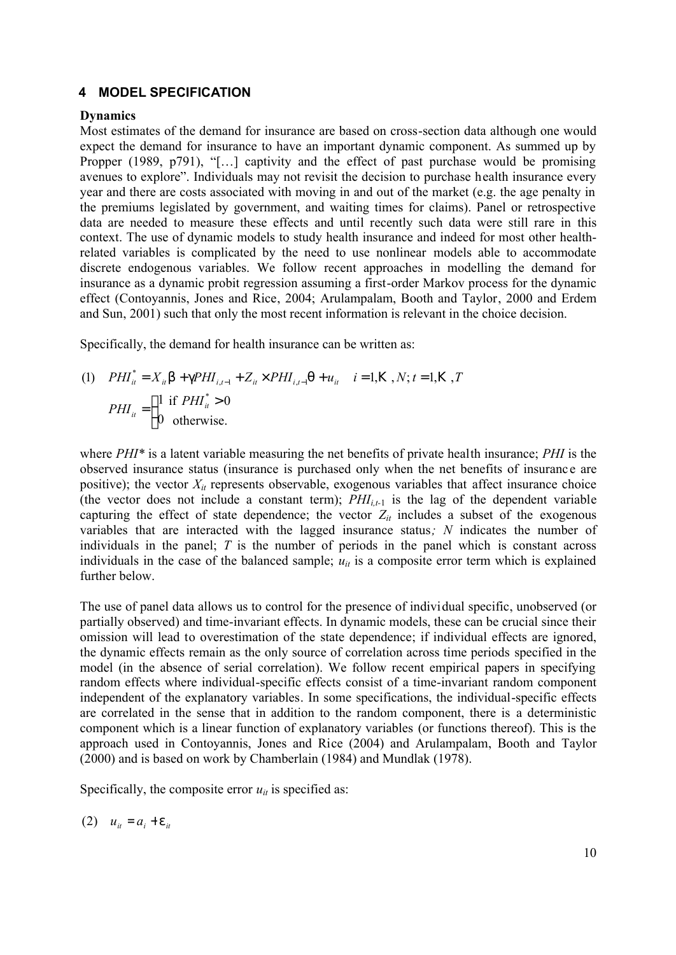### **4 MODEL SPECIFICATION**

### **Dynamics**

Most estimates of the demand for insurance are based on cross-section data although one would expect the demand for insurance to have an important dynamic component. As summed up by Propper (1989, p791), "[...] captivity and the effect of past purchase would be promising avenues to explore". Individuals may not revisit the decision to purchase health insurance every year and there are costs associated with moving in and out of the market (e.g. the age penalty in the premiums legislated by government, and waiting times for claims). Panel or retrospective data are needed to measure these effects and until recently such data were still rare in this context. The use of dynamic models to study health insurance and indeed for most other healthrelated variables is complicated by the need to use nonlinear models able to accommodate discrete endogenous variables. We follow recent approaches in modelling the demand for insurance as a dynamic probit regression assuming a first-order Markov process for the dynamic effect (Contoyannis, Jones and Rice, 2004; Arulampalam, Booth and Taylor, 2000 and Erdem and Sun, 2001) such that only the most recent information is relevant in the choice decision.

Specifically, the demand for health insurance can be written as:

(1) 
$$
PHI_{it}^{*} = X_{it} b + gPHI_{i,t-1} + Z_{it} \times PHI_{i,t-1} q + u_{it} \quad i = 1, K, N; t = 1, K, T
$$

$$
PHI_{it} = \begin{cases} 1 & \text{if } PHI_{it}^{*} > 0 \\ 0 & \text{otherwise.} \end{cases}
$$

where *PHI\** is a latent variable measuring the net benefits of private health insurance; *PHI* is the observed insurance status (insurance is purchased only when the net benefits of insuranc e are positive); the vector  $X_{it}$  represents observable, exogenous variables that affect insurance choice (the vector does not include a constant term);  $PHI_{i,t-1}$  is the lag of the dependent variable capturing the effect of state dependence; the vector  $Z_{it}$  includes a subset of the exogenous variables that are interacted with the lagged insurance status*; N* indicates the number of individuals in the panel; *T* is the number of periods in the panel which is constant across individuals in the case of the balanced sample;  $u_{it}$  is a composite error term which is explained further below.

The use of panel data allows us to control for the presence of individual specific, unobserved (or partially observed) and time-invariant effects. In dynamic models, these can be crucial since their omission will lead to overestimation of the state dependence; if individual effects are ignored, the dynamic effects remain as the only source of correlation across time periods specified in the model (in the absence of serial correlation). We follow recent empirical papers in specifying random effects where individual-specific effects consist of a time-invariant random component independent of the explanatory variables. In some specifications, the individual-specific effects are correlated in the sense that in addition to the random component, there is a deterministic component which is a linear function of explanatory variables (or functions thereof). This is the approach used in Contoyannis, Jones and Rice (2004) and Arulampalam, Booth and Taylor (2000) and is based on work by Chamberlain (1984) and Mundlak (1978).

Specifically, the composite error  $u_{it}$  is specified as:

$$
(2) \quad u_{it} = a_i + e_{it}
$$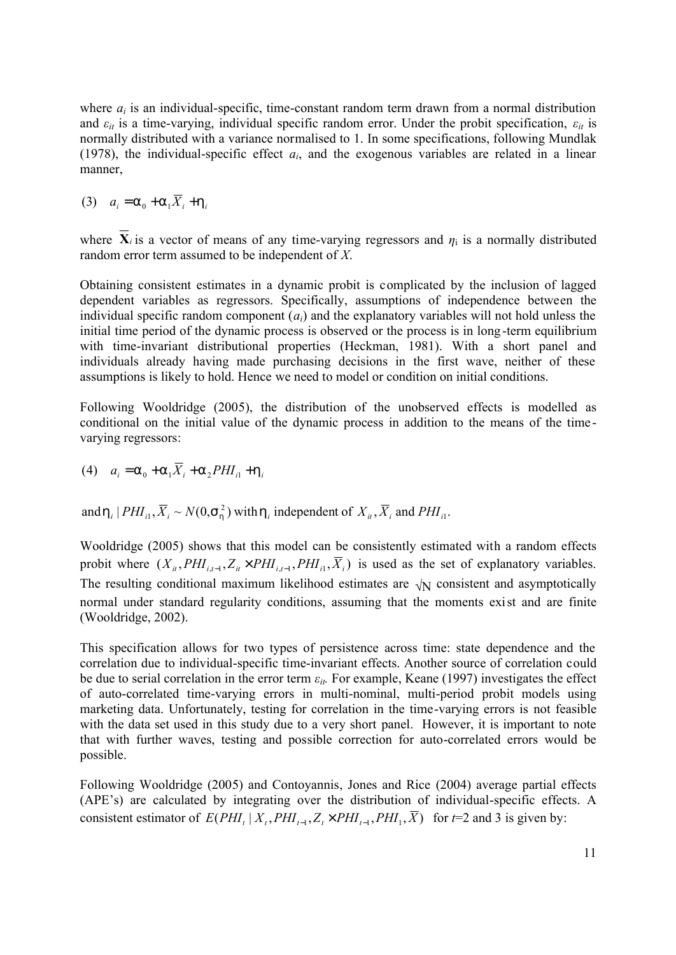where  $a_i$  is an individual-specific, time-constant random term drawn from a normal distribution and  $\varepsilon_{it}$  is a time-varying, individual specific random error. Under the probit specification,  $\varepsilon_{it}$  is normally distributed with a variance normalised to 1. In some specifications, following Mundlak (1978), the individual-specific effect  $a_i$ , and the exogenous variables are related in a linear manner,

 $a_i = a_0 + a_1 X_i + h_i$ 

where  $X_i$  is a vector of means of any time-varying regressors and  $\eta_i$  is a normally distributed random error term assumed to be independent of *X*.

Obtaining consistent estimates in a dynamic probit is complicated by the inclusion of lagged dependent variables as regressors. Specifically, assumptions of independence between the individual specific random component  $(a_i)$  and the explanatory variables will not hold unless the initial time period of the dynamic process is observed or the process is in long -term equilibrium with time-invariant distributional properties (Heckman, 1981). With a short panel and individuals already having made purchasing decisions in the first wave, neither of these assumptions is likely to hold. Hence we need to model or condition on initial conditions.

Following Wooldridge (2005), the distribution of the unobserved effects is modelled as conditional on the initial value of the dynamic process in addition to the means of the time varying regressors:

(4) 
$$
a_i = a_0 + a_1 \overline{X}_i + a_2 PHI_{i1} + h_i
$$

and  $h_i$  |  $PHI_{i1}$ ,  $\overline{X}_i \sim N(0, S_h^2)$  with  $h_i$  independent of  $X_{i}$ ,  $\overline{X}_i$  and  $PHI_{i1}$ . 2  $h_i$  |  $PHI_{i1}$ ,  $\overline{X}_i \sim N(0, s_h^2)$  with  $h_i$  independent of  $X_{i}$ ,  $\overline{X}_i$  and  $PHI_{i}$ 

Wooldridge (2005) shows that this model can be consistently estimated with a random effects probit where  $(X_i, PHI_{i,t-1}, Z_i \times PHI_{i,t-1}, PHI_i, X_i)$  is used as the set of explanatory variables. The resulting conditional maximum likelihood estimates are  $\sqrt{N}$  consistent and asymptotically normal under standard regularity conditions, assuming that the moments exist and are finite (Wooldridge, 2002).

This specification allows for two types of persistence across time: state dependence and the correlation due to individual-specific time-invariant effects. Another source of correlation could be due to serial correlation in the error term  $\varepsilon_{it}$ . For example, Keane (1997) investigates the effect of auto-correlated time-varying errors in multi-nominal, multi-period probit models using marketing data. Unfortunately, testing for correlation in the time-varying errors is not feasible with the data set used in this study due to a very short panel. However, it is important to note that with further waves, testing and possible correction for auto-correlated errors would be possible.

Following Wooldridge (2005) and Contoyannis, Jones and Rice (2004) average partial effects (APE's) are calculated by integrating over the distribution of individual-specific effects. A consistent estimator of  $E(PHI_t | X_t, PHI_{t-1}, Z_t \times PHI_{t-1}, PHI_1, \overline{X})$  for  $t=2$  and 3 is given by: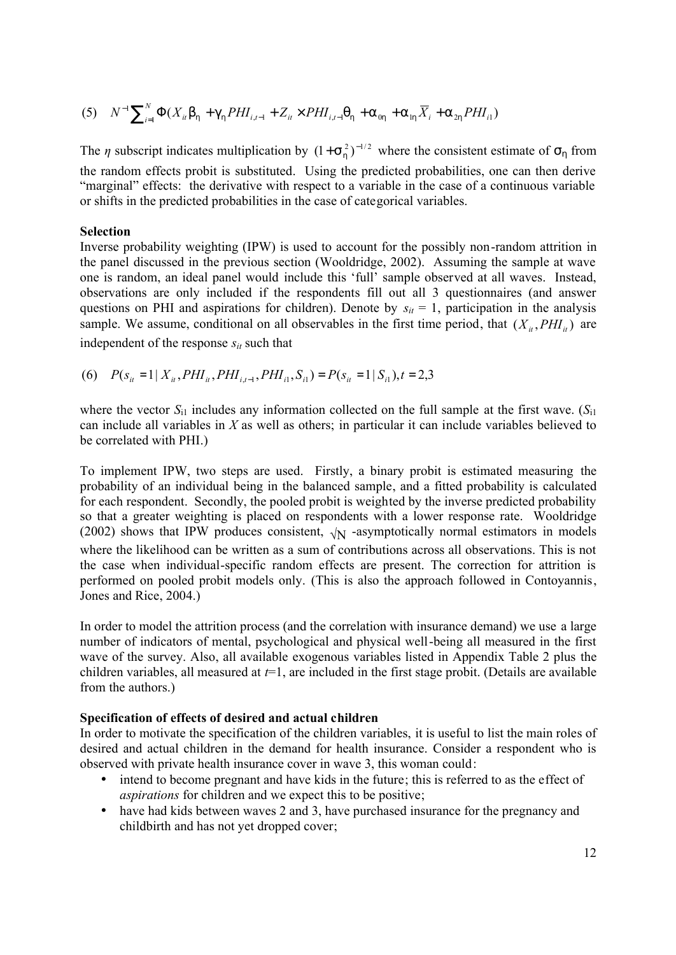(5) 
$$
N^{-1} \sum_{i=1}^{N} \Phi(X_{it} b_{h} + g_{h} P H I_{i,t-1} + Z_{it} \times P H I_{i,t-1} q_{h} + a_{0h} + a_{1h} \overline{X}_{i} + a_{2h} P H I_{i1})
$$

The *η* subscript indicates multiplication by  $(1 + S_h^2)^{-1/2}$  where the consistent estimate of  $S_h$  from the random effects probit is substituted. Using the predicted probabilities, one can then derive "marginal" effects: the derivative with respect to a variable in the case of a continuous variable or shifts in the predicted probabilities in the case of categorical variables.

### **Selection**

Inverse probability weighting (IPW) is used to account for the possibly non-random attrition in the panel discussed in the previous section (Wooldridge, 2002). Assuming the sample at wave one is random, an ideal panel would include this 'full' sample observed at all waves. Instead, observations are only included if the respondents fill out all 3 questionnaires (and answer questions on PHI and aspirations for children). Denote by  $s_{it} = 1$ , participation in the analysis sample. We assume, conditional on all observables in the first time period, that  $(X_i, PHI_i)$  are independent of the response  $s_{it}$  such that

(6)  $P(s_{ii} = 1 | X_{ii}, PHI_{ii}, PHI_{i,t-1}, PHI_{i,1}, S_{i,1}) = P(s_{ii} = 1 | S_{i,1}), t = 2,3$ 

where the vector  $S_{i1}$  includes any information collected on the full sample at the first wave.  $(S_{i1})$ can include all variables in *X* as well as others; in particular it can include variables believed to be correlated with PHI.)

To implement IPW, two steps are used. Firstly, a binary probit is estimated measuring the probability of an individual being in the balanced sample, and a fitted probability is calculated for each respondent. Secondly, the pooled probit is weighted by the inverse predicted probability so that a greater weighting is placed on respondents with a lower response rate. Wooldridge (2002) shows that IPW produces consistent,  $\sqrt{N}$  -asymptotically normal estimators in models where the likelihood can be written as a sum of contributions across all observations. This is not the case when individual-specific random effects are present. The correction for attrition is performed on pooled probit models only. (This is also the approach followed in Contoyannis, Jones and Rice, 2004.)

In order to model the attrition process (and the correlation with insurance demand) we use a large number of indicators of mental, psychological and physical well-being all measured in the first wave of the survey. Also, all available exogenous variables listed in Appendix Table 2 plus the children variables, all measured at  $t=1$ , are included in the first stage probit. (Details are available from the authors.)

# **Specification of effects of desired and actual children**

In order to motivate the specification of the children variables, it is useful to list the main roles of desired and actual children in the demand for health insurance. Consider a respondent who is observed with private health insurance cover in wave 3, this woman could:

- intend to become pregnant and have kids in the future; this is referred to as the effect of *aspirations* for children and we expect this to be positive;
- have had kids between waves 2 and 3, have purchased insurance for the pregnancy and childbirth and has not yet dropped cover;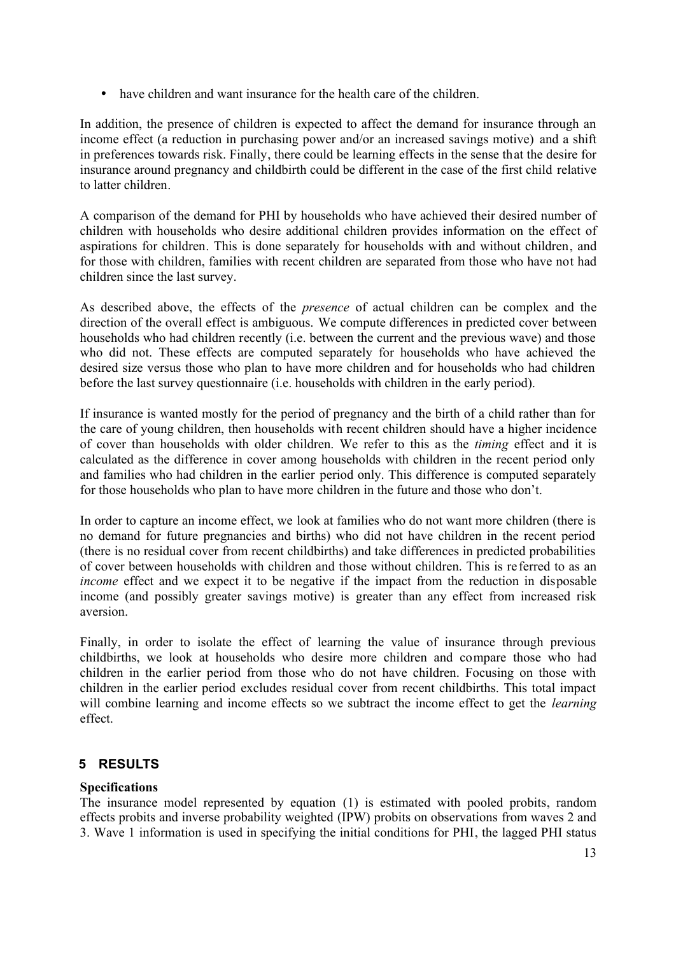• have children and want insurance for the health care of the children.

In addition, the presence of children is expected to affect the demand for insurance through an income effect (a reduction in purchasing power and/or an increased savings motive) and a shift in preferences towards risk. Finally, there could be learning effects in the sense that the desire for insurance around pregnancy and childbirth could be different in the case of the first child relative to latter children.

A comparison of the demand for PHI by households who have achieved their desired number of children with households who desire additional children provides information on the effect of aspirations for children. This is done separately for households with and without children, and for those with children, families with recent children are separated from those who have not had children since the last survey.

As described above, the effects of the *presence* of actual children can be complex and the direction of the overall effect is ambiguous. We compute differences in predicted cover between households who had children recently (i.e. between the current and the previous wave) and those who did not. These effects are computed separately for households who have achieved the desired size versus those who plan to have more children and for households who had children before the last survey questionnaire (i.e. households with children in the early period).

If insurance is wanted mostly for the period of pregnancy and the birth of a child rather than for the care of young children, then households with recent children should have a higher incidence of cover than households with older children. We refer to this as the *timing* effect and it is calculated as the difference in cover among households with children in the recent period only and families who had children in the earlier period only. This difference is computed separately for those households who plan to have more children in the future and those who don't.

In order to capture an income effect, we look at families who do not want more children (there is no demand for future pregnancies and births) who did not have children in the recent period (there is no residual cover from recent childbirths) and take differences in predicted probabilities of cover between households with children and those without children. This is re ferred to as an *income* effect and we expect it to be negative if the impact from the reduction in disposable income (and possibly greater savings motive) is greater than any effect from increased risk aversion.

Finally, in order to isolate the effect of learning the value of insurance through previous childbirths, we look at households who desire more children and compare those who had children in the earlier period from those who do not have children. Focusing on those with children in the earlier period excludes residual cover from recent childbirths. This total impact will combine learning and income effects so we subtract the income effect to get the *learning* effect.

# **5 RESULTS**

# **Specifications**

The insurance model represented by equation (1) is estimated with pooled probits, random effects probits and inverse probability weighted (IPW) probits on observations from waves 2 and 3. Wave 1 information is used in specifying the initial conditions for PHI, the lagged PHI status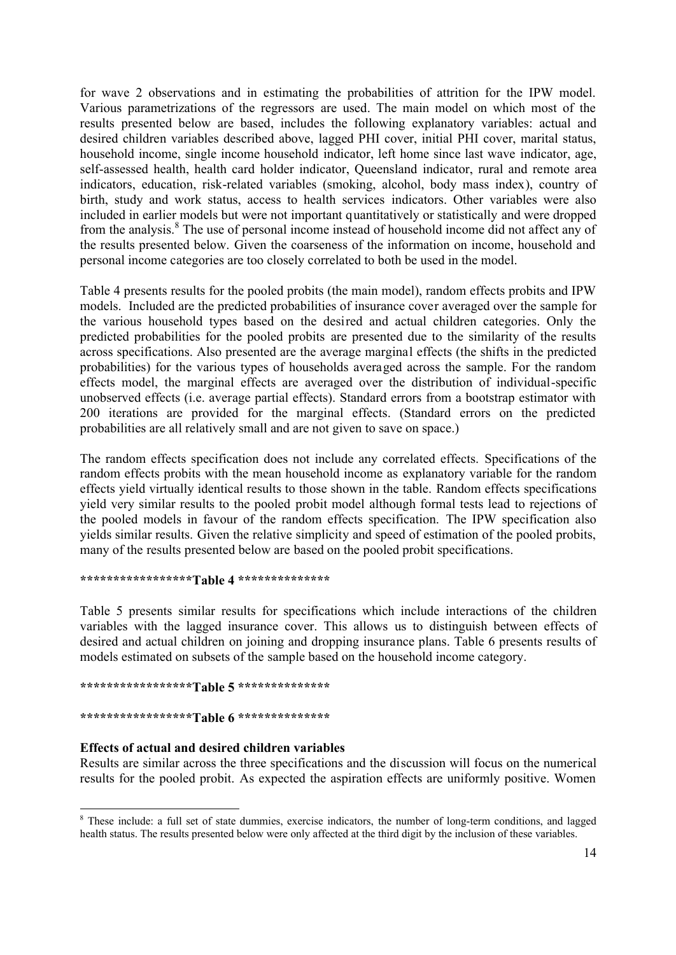for wave 2 observations and in estimating the probabilities of attrition for the IPW model. Various parametrizations of the regressors are used. The main model on which most of the results presented below are based, includes the following explanatory variables: actual and desired children variables described above, lagged PHI cover, initial PHI cover, marital status, household income, single income household indicator, left home since last wave indicator, age, self-assessed health, health card holder indicator, Queensland indicator, rural and remote area indicators, education, risk-related variables (smoking, alcohol, body mass index), country of birth, study and work status, access to health services indicators. Other variables were also included in earlier models but were not important quantitatively or statistically and were dropped from the analysis.<sup>8</sup> The use of personal income instead of household income did not affect any of the results presented below. Given the coarseness of the information on income, household and personal income categories are too closely correlated to both be used in the model.

Table 4 presents results for the pooled probits (the main model), random effects probits and IPW models. Included are the predicted probabilities of insurance cover averaged over the sample for the various household types based on the desired and actual children categories. Only the predicted probabilities for the pooled probits are presented due to the similarity of the results across specifications. Also presented are the average marginal effects (the shifts in the predicted probabilities) for the various types of households averaged across the sample. For the random effects model, the marginal effects are averaged over the distribution of individual-specific unobserved effects (i.e. average partial effects). Standard errors from a bootstrap estimator with 200 iterations are provided for the marginal effects. (Standard errors on the predicted probabilities are all relatively small and are not given to save on space.)

The random effects specification does not include any correlated effects. Specifications of the random effects probits with the mean household income as explanatory variable for the random effects yield virtually identical results to those shown in the table. Random effects specifications yield very similar results to the pooled probit model although formal tests lead to rejections of the pooled models in favour of the random effects specification. The IPW specification also yields similar results. Given the relative simplicity and speed of estimation of the pooled probits, many of the results presented below are based on the pooled probit specifications.

### **\*\*\*\*\*\*\*\*\*\*\*\*\*\*\*\*\*Table 4 \*\*\*\*\*\*\*\*\*\*\*\*\*\***

Table 5 presents similar results for specifications which include interactions of the children variables with the lagged insurance cover. This allows us to distinguish between effects of desired and actual children on joining and dropping insurance plans. Table 6 presents results of models estimated on subsets of the sample based on the household income category.

### **\*\*\*\*\*\*\*\*\*\*\*\*\*\*\*\*\*Table 5 \*\*\*\*\*\*\*\*\*\*\*\*\*\***

### **\*\*\*\*\*\*\*\*\*\*\*\*\*\*\*\*\*Table 6 \*\*\*\*\*\*\*\*\*\*\*\*\*\***

### **Effects of actual and desired children variables**

Results are similar across the three specifications and the discussion will focus on the numerical results for the pooled probit. As expected the aspiration effects are uniformly positive. Women

 <sup>8</sup> These include: a full set of state dummies, exercise indicators, the number of long-term conditions, and lagged health status. The results presented below were only affected at the third digit by the inclusion of these variables.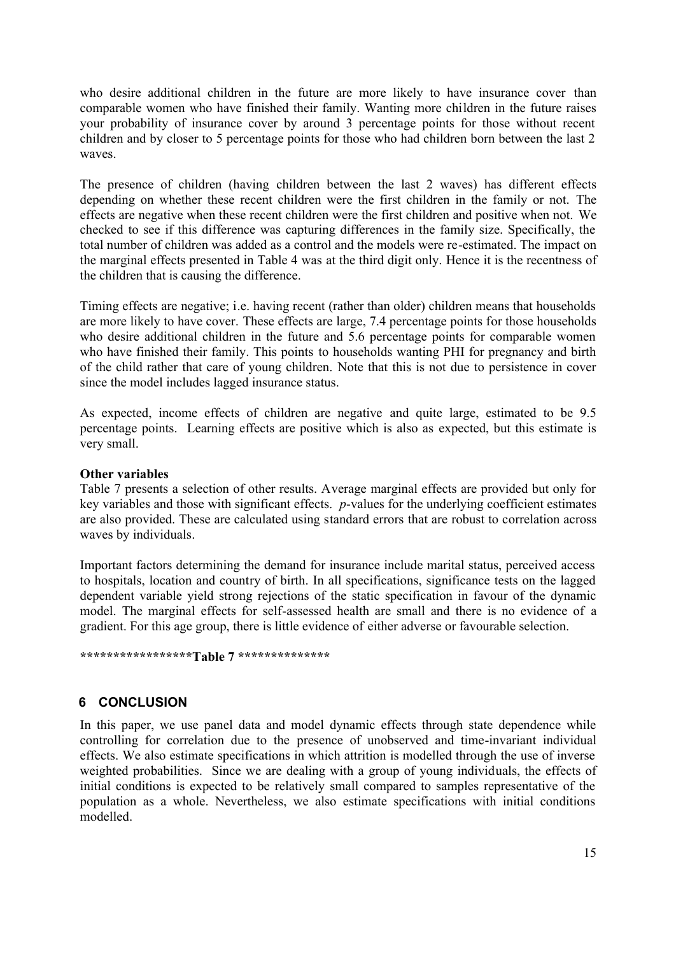who desire additional children in the future are more likely to have insurance cover than comparable women who have finished their family. Wanting more children in the future raises your probability of insurance cover by around 3 percentage points for those without recent children and by closer to 5 percentage points for those who had children born between the last 2 waves.

The presence of children (having children between the last 2 waves) has different effects depending on whether these recent children were the first children in the family or not. The effects are negative when these recent children were the first children and positive when not. We checked to see if this difference was capturing differences in the family size. Specifically, the total number of children was added as a control and the models were re-estimated. The impact on the marginal effects presented in Table 4 was at the third digit only. Hence it is the recentness of the children that is causing the difference.

Timing effects are negative; i.e. having recent (rather than older) children means that households are more likely to have cover. These effects are large, 7.4 percentage points for those households who desire additional children in the future and 5.6 percentage points for comparable women who have finished their family. This points to households wanting PHI for pregnancy and birth of the child rather that care of young children. Note that this is not due to persistence in cover since the model includes lagged insurance status.

As expected, income effects of children are negative and quite large, estimated to be 9.5 percentage points. Learning effects are positive which is also as expected, but this estimate is very small.

### **Other variables**

Table 7 presents a selection of other results. Average marginal effects are provided but only for key variables and those with significant effects. *p*-values for the underlying coefficient estimates are also provided. These are calculated using standard errors that are robust to correlation across waves by individuals.

Important factors determining the demand for insurance include marital status, perceived access to hospitals, location and country of birth. In all specifications, significance tests on the lagged dependent variable yield strong rejections of the static specification in favour of the dynamic model. The marginal effects for self-assessed health are small and there is no evidence of a gradient. For this age group, there is little evidence of either adverse or favourable selection.

#### **\*\*\*\*\*\*\*\*\*\*\*\*\*\*\*\*\*Table 7 \*\*\*\*\*\*\*\*\*\*\*\*\*\***

# **6 CONCLUSION**

In this paper, we use panel data and model dynamic effects through state dependence while controlling for correlation due to the presence of unobserved and time-invariant individual effects. We also estimate specifications in which attrition is modelled through the use of inverse weighted probabilities. Since we are dealing with a group of young individuals, the effects of initial conditions is expected to be relatively small compared to samples representative of the population as a whole. Nevertheless, we also estimate specifications with initial conditions modelled.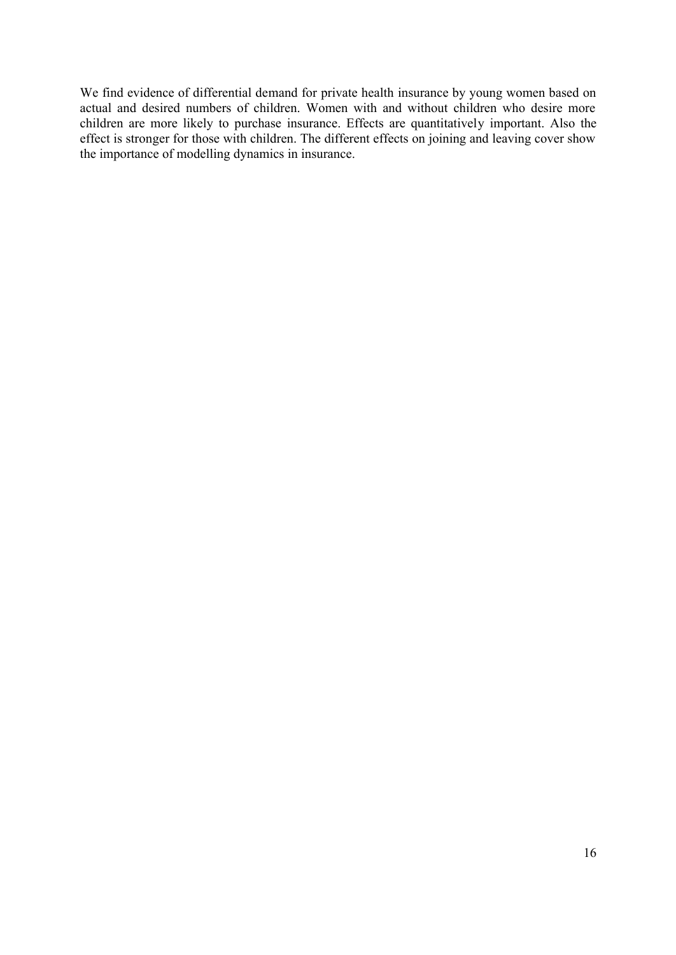We find evidence of differential demand for private health insurance by young women based on actual and desired numbers of children. Women with and without children who desire more children are more likely to purchase insurance. Effects are quantitatively important. Also the effect is stronger for those with children. The different effects on joining and leaving cover show the importance of modelling dynamics in insurance.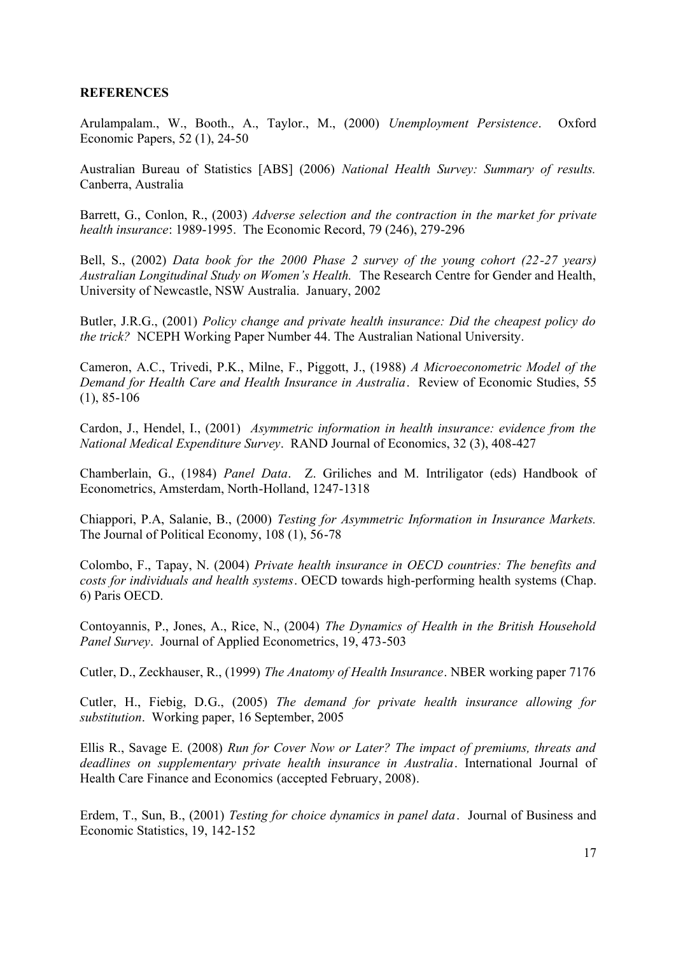### **REFERENCES**

Arulampalam., W., Booth., A., Taylor., M., (2000) *Unemployment Persistence*. Oxford Economic Papers, 52 (1), 24-50

Australian Bureau of Statistics [ABS] (2006) *National Health Survey: Summary of results.* Canberra, Australia

Barrett, G., Conlon, R., (2003) *Adverse selection and the contraction in the market for private health insurance*: 1989-1995. The Economic Record, 79 (246), 279-296

Bell, S., (2002) *Data book for the 2000 Phase 2 survey of the young cohort (22-27 years) Australian Longitudinal Study on Women's Health.* The Research Centre for Gender and Health, University of Newcastle, NSW Australia. January, 2002

Butler, J.R.G., (2001) *Policy change and private health insurance: Did the cheapest policy do the trick?* NCEPH Working Paper Number 44. The Australian National University.

Cameron, A.C., Trivedi, P.K., Milne, F., Piggott, J., (1988) *A Microeconometric Model of the Demand for Health Care and Health Insurance in Australia*. Review of Economic Studies, 55 (1), 85-106

Cardon, J., Hendel, I., (2001) *Asymmetric information in health insurance: evidence from the National Medical Expenditure Survey*. RAND Journal of Economics, 32 (3), 408-427

Chamberlain, G., (1984) *Panel Data*. Z. Griliches and M. Intriligator (eds) Handbook of Econometrics, Amsterdam, North-Holland, 1247-1318

Chiappori, P.A, Salanie, B., (2000) *Testing for Asymmetric Information in Insurance Markets.* The Journal of Political Economy, 108 (1), 56-78

Colombo, F., Tapay, N. (2004) *Private health insurance in OECD countries: The benefits and costs for individuals and health systems*. OECD towards high-performing health systems (Chap. 6) Paris OECD.

Contoyannis, P., Jones, A., Rice, N., (2004) *The Dynamics of Health in the British Household Panel Survey*. Journal of Applied Econometrics, 19, 473-503

Cutler, D., Zeckhauser, R., (1999) *The Anatomy of Health Insurance*. NBER working paper 7176

Cutler, H., Fiebig, D.G., (2005) *The demand for private health insurance allowing for substitution*. Working paper, 16 September, 2005

Ellis R., Savage E. (2008) *Run for Cover Now or Later? The impact of premiums, threats and deadlines on supplementary private health insurance in Australia*. International Journal of Health Care Finance and Economics (accepted February, 2008).

Erdem, T., Sun, B., (2001) *Testing for choice dynamics in panel data*. Journal of Business and Economic Statistics, 19, 142-152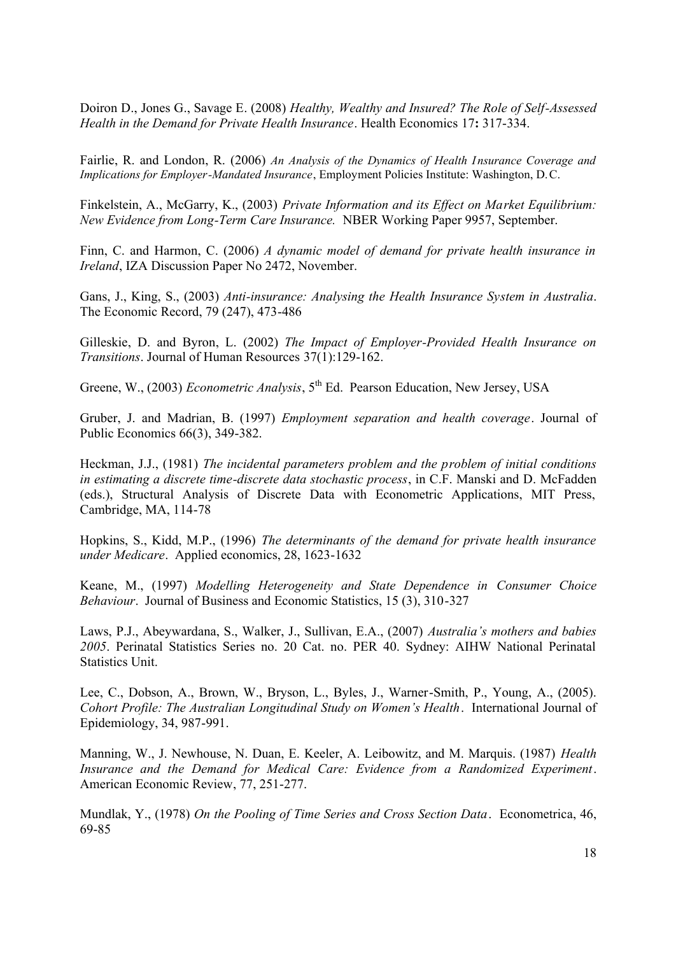Doiron D., Jones G., Savage E. (2008) *Healthy, Wealthy and Insured? The Role of Self-Assessed Health in the Demand for Private Health Insurance*. Health Economics 17**:** 317-334.

Fairlie, R. and London, R. (2006) *An Analysis of the Dynamics of Health I nsurance Coverage and Implications for Employer-Mandated Insurance*, Employment Policies Institute: Washington, D.C.

Finkelstein, A., McGarry, K., (2003) *Private Information and its Effect on Market Equilibrium: New Evidence from Long-Term Care Insurance.* NBER Working Paper 9957, September.

Finn, C. and Harmon, C. (2006) *A dynamic model of demand for private health insurance in Ireland*, IZA Discussion Paper No 2472, November.

Gans, J., King, S., (2003) *Anti-insurance: Analysing the Health Insurance System in Australia*. The Economic Record, 79 (247), 473-486

Gilleskie, D. and Byron, L. (2002) *The Impact of Employer-Provided Health Insurance on Transitions*. Journal of Human Resources 37(1):129-162.

Greene, W., (2003) *Econometric Analysis*, 5<sup>th</sup> Ed. Pearson Education, New Jersey, USA

Gruber, J. and Madrian, B. (1997) *Employment separation and health coverage*. Journal of Public Economics 66(3), 349-382.

Heckman, J.J., (1981) *The incidental parameters problem and the problem of initial conditions in estimating a discrete time-discrete data stochastic process*, in C.F. Manski and D. McFadden (eds.), Structural Analysis of Discrete Data with Econometric Applications, MIT Press, Cambridge, MA, 114-78

Hopkins, S., Kidd, M.P., (1996) *The determinants of the demand for private health insurance under Medicare*. Applied economics, 28, 1623-1632

Keane, M., (1997) *Modelling Heterogeneity and State Dependence in Consumer Choice Behaviour*. Journal of Business and Economic Statistics, 15 (3), 310-327

Laws, P.J., Abeywardana, S., Walker, J., Sullivan, E.A., (2007) *Australia's mothers and babies 2005*. Perinatal Statistics Series no. 20 Cat. no. PER 40. Sydney: AIHW National Perinatal Statistics Unit.

Lee, C., Dobson, A., Brown, W., Bryson, L., Byles, J., Warner-Smith, P., Young, A., (2005). *Cohort Profile: The Australian Longitudinal Study on Women's Health*. International Journal of Epidemiology, 34, 987-991.

Manning, W., J. Newhouse, N. Duan, E. Keeler, A. Leibowitz, and M. Marquis. (1987) *Health Insurance and the Demand for Medical Care: Evidence from a Randomized Experiment*. American Economic Review, 77, 251-277.

Mundlak, Y., (1978) *On the Pooling of Time Series and Cross Section Data*. Econometrica, 46, 69-85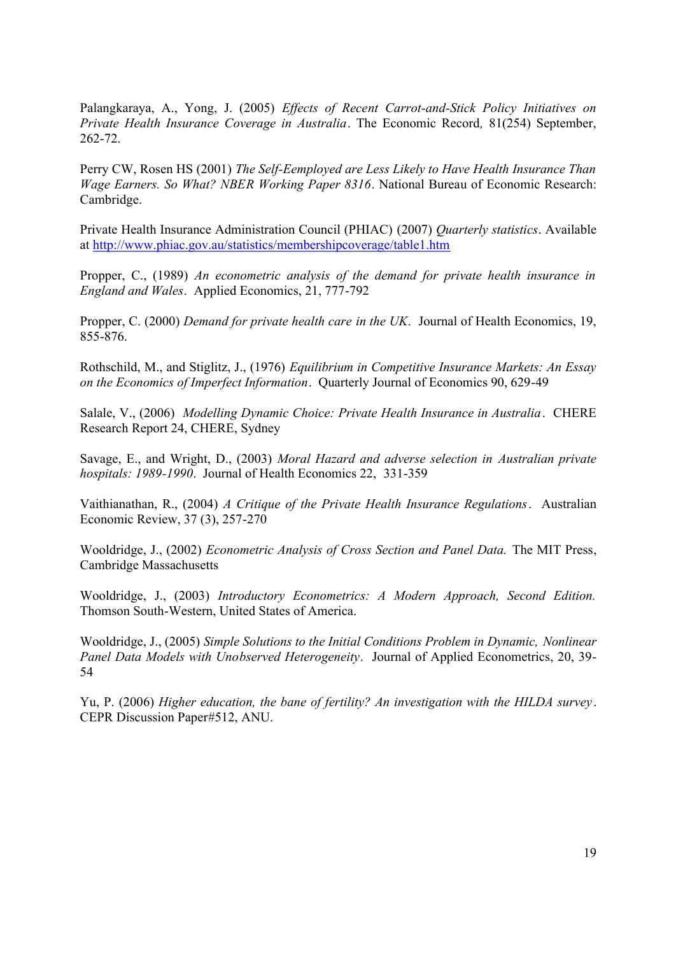Palangkaraya, A., Yong, J. (2005) *Effects of Recent Carrot-and-Stick Policy Initiatives on Private Health Insurance Coverage in Australia*. The Economic Record*,* 81(254) September, 262-72.

Perry CW, Rosen HS (2001) *The Self-Eemployed are Less Likely to Have Health Insurance Than Wage Earners. So What? NBER Working Paper 8316*. National Bureau of Economic Research: Cambridge.

Private Health Insurance Administration Council (PHIAC) (2007) *Quarterly statistics*. Available at http://www.phiac.gov.au/statistics/membershipcoverage/table1.htm

Propper, C., (1989) *An econometric analysis of the demand for private health insurance in England and Wales*. Applied Economics, 21, 777-792

Propper, C. (2000) *Demand for private health care in the UK*. Journal of Health Economics, 19, 855-876.

Rothschild, M., and Stiglitz, J., (1976) *Equilibrium in Competitive Insurance Markets: An Essay on the Economics of Imperfect Information*. Quarterly Journal of Economics 90, 629-49

Salale, V., (2006) *Modelling Dynamic Choice: Private Health Insurance in Australia*. CHERE Research Report 24, CHERE, Sydney

Savage, E., and Wright, D., (2003) *Moral Hazard and adverse selection in Australian private hospitals: 1989-1990*. Journal of Health Economics 22, 331-359

Vaithianathan, R., (2004) *A Critique of the Private Health Insurance Regulations*. Australian Economic Review, 37 (3), 257-270

Wooldridge, J., (2002) *Econometric Analysis of Cross Section and Panel Data.* The MIT Press, Cambridge Massachusetts

Wooldridge, J., (2003) *Introductory Econometrics: A Modern Approach, Second Edition.* Thomson South-Western, United States of America.

Wooldridge, J., (2005) *Simple Solutions to the Initial Conditions Problem in Dynamic, Nonlinear Panel Data Models with Unobserved Heterogeneity*. Journal of Applied Econometrics, 20, 39- 54

Yu, P. (2006) *Higher education, the bane of fertility? An investigation with the HILDA survey* . CEPR Discussion Paper#512, ANU.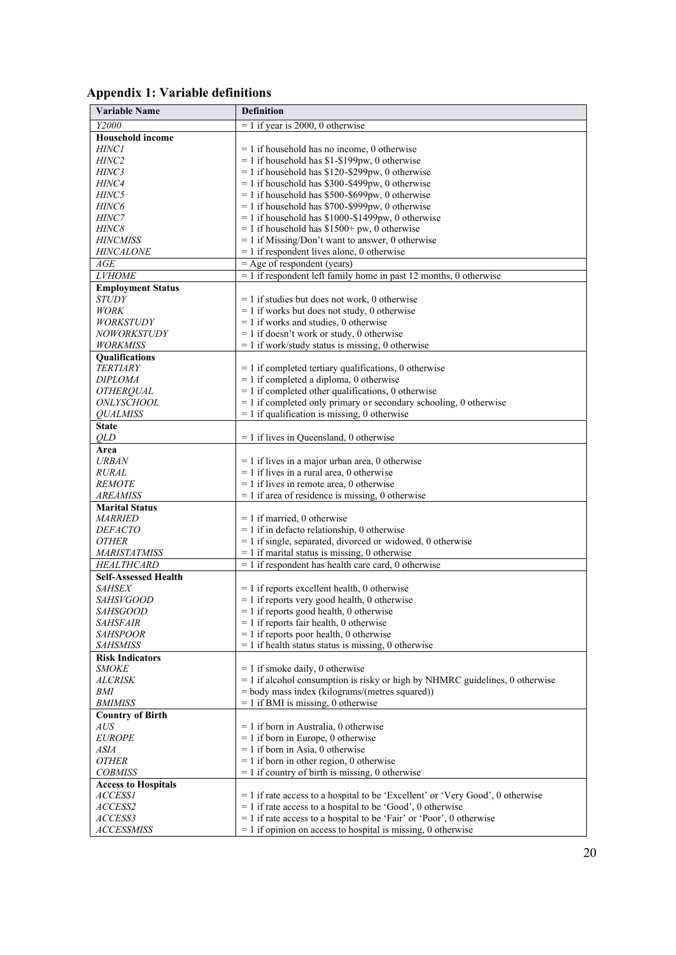| <b>Appendix 1: Variable definitions</b> |  |  |
|-----------------------------------------|--|--|
|-----------------------------------------|--|--|

| <b>Variable Name</b>                | <b>Definition</b>                                                                                |
|-------------------------------------|--------------------------------------------------------------------------------------------------|
| Y2000                               | $= 1$ if year is 2000, 0 otherwise                                                               |
| <b>Household income</b>             |                                                                                                  |
| <i>HINCI</i>                        | $= 1$ if household has no income, 0 otherwise                                                    |
| HINC <sub>2</sub>                   | $= 1$ if household has \$1-\$199pw, 0 otherwise                                                  |
| <i>HINC3</i>                        | $= 1$ if household has \$120-\$299pw, 0 otherwise                                                |
| HINC4                               | $= 1$ if household has \$300-\$499pw, 0 otherwise                                                |
| <i>HINC5</i>                        | $= 1$ if household has \$500-\$699pw, 0 otherwise                                                |
| HINC6                               | $= 1$ if household has \$700-\$999pw, 0 otherwise                                                |
| <b>HINC7</b>                        | $= 1$ if household has \$1000-\$1499pw, 0 otherwise                                              |
| <i>HINC8</i>                        | $= 1$ if household has \$1500+ pw, 0 otherwise                                                   |
| <b>HINCMISS</b>                     | $= 1$ if Missing/Don't want to answer, 0 otherwise                                               |
| <b>HINCALONE</b>                    | $= 1$ if respondent lives alone, 0 otherwise                                                     |
| AGE                                 | $=$ Age of respondent (years)                                                                    |
| <b>LVHOME</b>                       | $= 1$ if respondent left family home in past 12 months, 0 otherwise                              |
| <b>Employment Status</b>            |                                                                                                  |
| <b>STUDY</b>                        | $= 1$ if studies but does not work, 0 otherwise                                                  |
| <b>WORK</b>                         | $= 1$ if works but does not study, 0 otherwise                                                   |
| <i>WORKSTUDY</i>                    | $= 1$ if works and studies, 0 otherwise                                                          |
| <b>NOWORKSTUDY</b>                  | $= 1$ if doesn't work or study, 0 otherwise                                                      |
| <b>WORKMISS</b>                     | $= 1$ if work/study status is missing, 0 otherwise                                               |
| <b>Oualifications</b>               |                                                                                                  |
| <b>TERTIARY</b>                     | $= 1$ if completed tertiary qualifications, 0 otherwise                                          |
| <b>DIPLOMA</b>                      | $= 1$ if completed a diploma, 0 otherwise                                                        |
| <b>OTHERQUAL</b>                    | $= 1$ if completed other qualifications, 0 otherwise                                             |
| <i>ONLYSCHOOL</i>                   | $= 1$ if completed only primary or secondary schooling, 0 otherwise                              |
| <b>OUALMISS</b>                     | $= 1$ if qualification is missing, 0 otherwise                                                   |
| <b>State</b>                        |                                                                                                  |
| <i>OLD</i>                          | $= 1$ if lives in Queensland, 0 otherwise                                                        |
| Area                                |                                                                                                  |
| <b>URBAN</b>                        | $= 1$ if lives in a major urban area, 0 otherwise                                                |
| <i>RURAL</i>                        | $= 1$ if lives in a rural area, 0 otherwise                                                      |
| <b>REMOTE</b>                       | $= 1$ if lives in remote area, 0 otherwise                                                       |
| AREAMISS                            | $= 1$ if area of residence is missing, 0 otherwise                                               |
| <b>Marital Status</b>               |                                                                                                  |
| <i>MARRIED</i>                      | $= 1$ if married, 0 otherwise                                                                    |
| <i>DEFACTO</i>                      | $= 1$ if in defacto relationship, 0 otherwise                                                    |
| <i>OTHER</i>                        | $= 1$ if single, separated, divorced or widowed, 0 otherwise                                     |
| <b>MARISTATMISS</b>                 | $= 1$ if marital status is missing, 0 otherwise                                                  |
| <b>HEALTHCARD</b>                   | $= 1$ if respondent has health care card, 0 otherwise                                            |
| <b>Self-Assessed Health</b>         |                                                                                                  |
| <i>SAHSEX</i>                       | $= 1$ if reports excellent health, 0 otherwise<br>$= 1$ if reports very good health, 0 otherwise |
| <i>SAHSVGOOD</i><br><i>SAHSGOOD</i> | $= 1$ if reports good health, 0 otherwise                                                        |
| <i>SAHSFAIR</i>                     | $= 1$ if reports fair health, 0 otherwise                                                        |
| <b>SAHSPOOR</b>                     | $= 1$ if reports poor health, 0 otherwise                                                        |
| <b>SAHSMISS</b>                     | $= 1$ if health status status is missing, 0 otherwise                                            |
| <b>Risk Indicators</b>              |                                                                                                  |
| <i>SMOKE</i>                        | $= 1$ if smoke daily, 0 otherwise                                                                |
| <b>ALCRISK</b>                      | $= 1$ if alcohol consumption is risky or high by NHMRC guidelines, 0 otherwise                   |
| BMI                                 | = body mass index (kilograms/(metres squared))                                                   |
| <b>BMIMISS</b>                      | $= 1$ if BMI is missing, 0 otherwise                                                             |
| <b>Country of Birth</b>             |                                                                                                  |
| AUS                                 | $= 1$ if born in Australia, 0 otherwise                                                          |
| <b>EUROPE</b>                       | $= 1$ if born in Europe, 0 otherwise                                                             |
| ASIA                                | $= 1$ if born in Asia, 0 otherwise                                                               |
| <b>OTHER</b>                        | $= 1$ if born in other region, 0 otherwise                                                       |
| <b>COBMISS</b>                      | $= 1$ if country of birth is missing, 0 otherwise                                                |
| <b>Access to Hospitals</b>          |                                                                                                  |
| <b>ACCESS1</b>                      | $= 1$ if rate access to a hospital to be 'Excellent' or 'Very Good', 0 otherwise                 |
| ACCESS2                             | $= 1$ if rate access to a hospital to be 'Good', 0 otherwise                                     |
| ACCESS3                             | $=$ 1 if rate access to a hospital to be 'Fair' or 'Poor', 0 otherwise                           |
| <i>ACCESSMISS</i>                   | $= 1$ if opinion on access to hospital is missing, 0 otherwise                                   |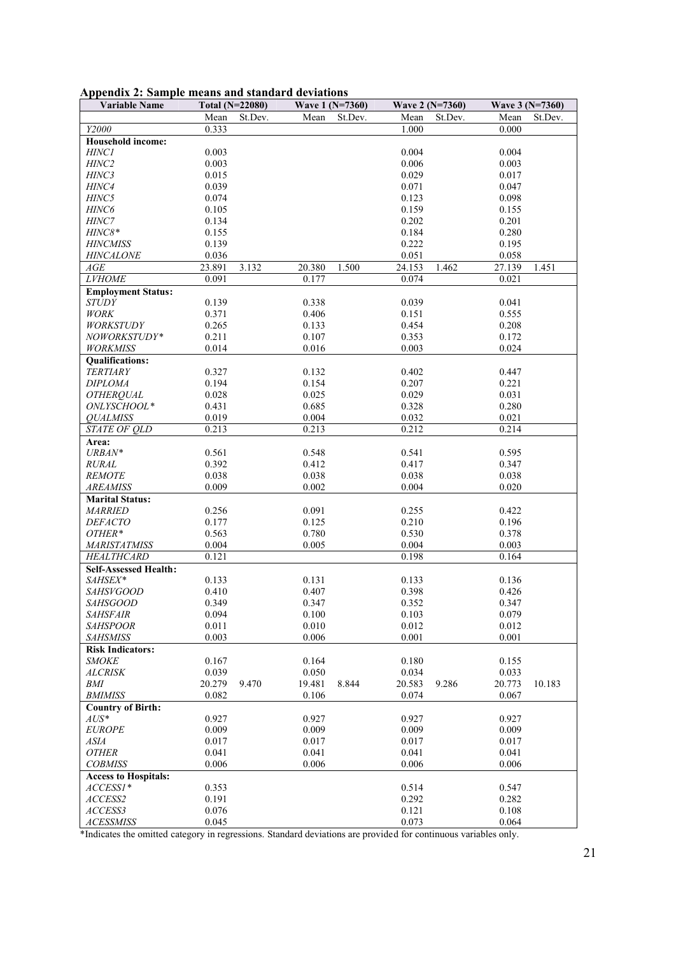|  |  |  |  | Appendix 2: Sample means and standard deviations |
|--|--|--|--|--------------------------------------------------|
|  |  |  |  |                                                  |

| <b>Variable Name</b>                      | Total (N=22080) |         | Wave 1 (N=7360) |         | Wave 2 (N=7360) |         | Wave 3 (N=7360) |         |
|-------------------------------------------|-----------------|---------|-----------------|---------|-----------------|---------|-----------------|---------|
|                                           | Mean            | St.Dev. | Mean            | St.Dev. | Mean            | St.Dev. | Mean            | St.Dev. |
| Y2000                                     | 0.333           |         |                 |         | 1.000           |         | 0.000           |         |
| <b>Household income:</b>                  |                 |         |                 |         |                 |         |                 |         |
| <b>HINC1</b>                              | 0.003           |         |                 |         | 0.004           |         | 0.004           |         |
| HINC <sub>2</sub>                         | 0.003           |         |                 |         | 0.006           |         | 0.003           |         |
| HINC3                                     | 0.015           |         |                 |         | 0.029           |         | 0.017           |         |
| HINC4                                     | 0.039           |         |                 |         | 0.071           |         | 0.047           |         |
| HINC5                                     | 0.074           |         |                 |         | 0.123           |         | 0.098           |         |
| HINC <sub>6</sub>                         | 0.105           |         |                 |         | 0.159           |         | 0.155           |         |
| HINC7                                     | 0.134           |         |                 |         | 0.202           |         | 0.201           |         |
| HINC8*                                    | 0.155           |         |                 |         | 0.184           |         | 0.280           |         |
| <b>HINCMISS</b>                           | 0.139           |         |                 |         | 0.222           |         | 0.195           |         |
| <b>HINCALONE</b>                          | 0.036           |         |                 |         | 0.051           |         | 0.058           |         |
| AGE                                       | 23.891          | 3.132   | 20.380          | 1.500   | 24.153          | 1.462   | 27.139          | 1.451   |
| <b>LVHOME</b>                             | 0.091           |         | 0.177           |         | 0.074           |         | 0.021           |         |
| <b>Employment Status:</b>                 |                 |         |                 |         |                 |         |                 |         |
| <b>STUDY</b>                              | 0.139           |         | 0.338           |         | 0.039           |         | 0.041           |         |
| <b>WORK</b>                               | 0.371           |         | 0.406           |         | 0.151           |         | 0.555           |         |
| <b>WORKSTUDY</b>                          | 0.265           |         | 0.133           |         | 0.454           |         | 0.208           |         |
| NOWORKSTUDY*                              | 0.211           |         | 0.107           |         | 0.353           |         | 0.172           |         |
| <b>WORKMISS</b>                           | 0.014           |         | 0.016           |         | 0.003           |         | 0.024           |         |
|                                           |                 |         |                 |         |                 |         |                 |         |
| <b>Qualifications:</b><br><b>TERTIARY</b> | 0.327           |         | 0.132           |         | 0.402           |         | 0.447           |         |
| <b>DIPLOMA</b>                            | 0.194           |         | 0.154           |         | 0.207           |         | 0.221           |         |
|                                           |                 |         |                 |         | 0.029           |         |                 |         |
| <b>OTHERQUAL</b><br>ONLYSCHOOL*           | 0.028           |         | 0.025           |         |                 |         | 0.031           |         |
|                                           | 0.431<br>0.019  |         | 0.685<br>0.004  |         | 0.328<br>0.032  |         | 0.280           |         |
| <b>OUALMISS</b><br><b>STATE OF OLD</b>    | 0.213           |         | 0.213           |         | 0.212           |         | 0.021<br>0.214  |         |
|                                           |                 |         |                 |         |                 |         |                 |         |
| Area:                                     |                 |         |                 |         |                 |         |                 |         |
| URBAN*                                    | 0.561           |         | 0.548           |         | 0.541           |         | 0.595           |         |
| <b>RURAL</b>                              | 0.392           |         | 0.412           |         | 0.417           |         | 0.347           |         |
| <b>REMOTE</b>                             | 0.038           |         | 0.038           |         | 0.038           |         | 0.038           |         |
| <b>AREAMISS</b>                           | 0.009           |         | 0.002           |         | 0.004           |         | 0.020           |         |
| <b>Marital Status:</b>                    |                 |         |                 |         |                 |         |                 |         |
| <b>MARRIED</b>                            | 0.256           |         | 0.091           |         | 0.255           |         | 0.422           |         |
| <b>DEFACTO</b>                            | 0.177           |         | 0.125           |         | 0.210           |         | 0.196           |         |
| OTHER*                                    | 0.563           |         | 0.780           |         | 0.530           |         | 0.378           |         |
| <b>MARISTATMISS</b>                       | 0.004           |         | 0.005           |         | 0.004           |         | 0.003           |         |
| <b>HEALTHCARD</b>                         | 0.121           |         |                 |         | 0.198           |         | 0.164           |         |
| <b>Self-Assessed Health:</b>              |                 |         |                 |         |                 |         |                 |         |
| SAHSEX*                                   | 0.133           |         | 0.131           |         | 0.133           |         | 0.136           |         |
| <b>SAHSVGOOD</b>                          | 0.410           |         | 0.407           |         | 0.398           |         | 0.426           |         |
| <b>SAHSGOOD</b>                           | 0.349           |         | 0.347           |         | 0.352           |         | 0.347           |         |
| <b>SAHSFAIR</b>                           | 0.094           |         | 0.100           |         | 0.103           |         | 0.079           |         |
| <b>SAHSPOOR</b>                           | 0.011           |         | 0.010           |         | 0.012           |         | 0.012           |         |
| <b>SAHSMISS</b>                           | 0.003           |         | 0.006           |         | 0.001           |         | 0.001           |         |
| <b>Risk Indicators:</b>                   |                 |         |                 |         |                 |         |                 |         |
| <i>SMOKE</i>                              | 0.167           |         | 0.164           |         | 0.180           |         | 0.155           |         |
| <b>ALCRISK</b>                            | 0.039           |         | 0.050           |         | 0.034           |         | 0.033           |         |
| <b>BMI</b>                                | 20.279          | 9.470   | 19.481          | 8.844   | 20.583          | 9.286   | 20.773          | 10.183  |
| <b>BMIMISS</b>                            | 0.082           |         | 0.106           |         | 0.074           |         | 0.067           |         |
| <b>Country of Birth:</b>                  |                 |         |                 |         |                 |         |                 |         |
| $AUS^*$                                   | 0.927           |         | 0.927           |         | 0.927           |         | 0.927           |         |
| <b>EUROPE</b>                             | 0.009           |         | 0.009           |         | 0.009           |         | 0.009           |         |
| ASIA                                      | 0.017           |         | 0.017           |         | 0.017           |         | 0.017           |         |
| <b>OTHER</b>                              | 0.041           |         | 0.041           |         | 0.041           |         | 0.041           |         |
| <b>COBMISS</b>                            | 0.006           |         | 0.006           |         | 0.006           |         | 0.006           |         |
| <b>Access to Hospitals:</b>               |                 |         |                 |         |                 |         |                 |         |
| $ACCESSI*$                                | 0.353           |         |                 |         | 0.514           |         | 0.547           |         |
| ACCESS2                                   | 0.191           |         |                 |         | 0.292           |         | 0.282           |         |
| ACCESS3                                   | 0.076           |         |                 |         | 0.121           |         | 0.108           |         |
| <b>ACESSMISS</b>                          | 0.045           |         |                 |         | 0.073           |         | 0.064           |         |

\*Indicates the omitted category in regressions. Standard deviations are provided for continuous variables only.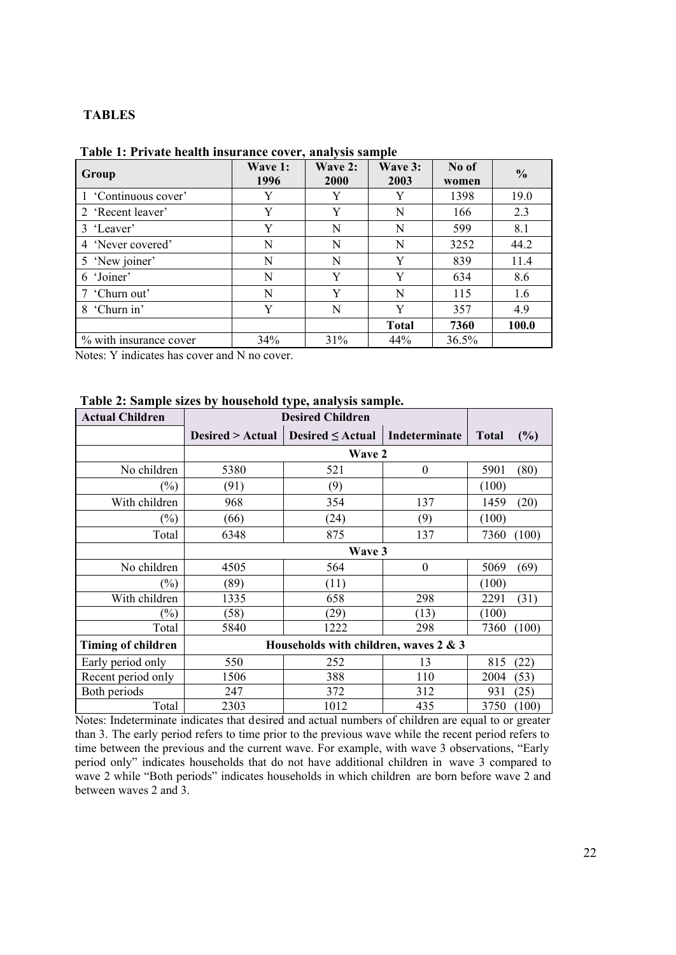# **TABLES**

| Group                  | Wave 1:<br>1996 | Wave 2:<br>2000 | Wave 3:<br>2003 | No of<br>women | $\frac{0}{0}$ |
|------------------------|-----------------|-----------------|-----------------|----------------|---------------|
| 1 'Continuous cover'   | Y               | Y               | Y               | 1398           | 19.0          |
| 2 'Recent leaver'      | Y               | Y               | N               | 166            | 2.3           |
| 3 'Leaver'             | Y               | N               | N               | 599            | 8.1           |
| 4 'Never covered'      | N               | N               | N               | 3252           | 44.2          |
| 5 'New joiner'         | N               | N               | Y               | 839            | 11.4          |
| 6 'Joiner'             | N               | Y               | Y               | 634            | 8.6           |
| 7 'Churn out'          | N               | Y               | N               | 115            | 1.6           |
| 8 'Churn in'           | Y               | N               | Y               | 357            | 4.9           |
|                        |                 |                 | <b>Total</b>    | 7360           | 100.0         |
| % with insurance cover | 34%             | 31%             | 44%             | 36.5%          |               |

### **Table 1: Private health insurance cover, analysis sample**

Notes: Y indicates has cover and N no cover.

| <b>Actual Children</b> | <b>Desired Children</b> |                                       |                  |              |        |
|------------------------|-------------------------|---------------------------------------|------------------|--------------|--------|
|                        | Desired > Actual        | Desired $\leq$ Actual                 | Indeterminate    | <b>Total</b> | $(\%)$ |
|                        |                         | <b>Wave 2</b>                         |                  |              |        |
| No children            | 5380                    | 521                                   | $\boldsymbol{0}$ | 5901         | (80)   |
| $(\%)$                 | (91)                    | (9)                                   |                  | (100)        |        |
| With children          | 968                     | 354                                   | 137              | 1459         | (20)   |
| $(\%)$                 | (66)                    | (24)                                  | (9)              | (100)        |        |
| Total                  | 6348                    | 875                                   | 137              | 7360         | (100)  |
|                        |                         | Wave 3                                |                  |              |        |
| No children            | 4505                    | 564                                   | $\boldsymbol{0}$ | 5069         | (69)   |
| $(\%)$                 | (89)                    | (11)                                  |                  | (100)        |        |
| With children          | 1335                    | 658                                   | 298              | 2291         | (31)   |
| $\left(\%\right)$      | (58)                    | (29)                                  | (13)             | (100)        |        |
| Total                  | 5840                    | 1222                                  | 298              | 7360         | (100)  |
| Timing of children     |                         | Households with children, waves 2 & 3 |                  |              |        |
| Early period only      | 550                     | 252                                   | 13               | 815          | (22)   |
| Recent period only     | 1506                    | 388                                   | 110              | 2004         | (53)   |
| Both periods           | 247                     | 372                                   | 312              | 931          | (25)   |
| Total                  | 2303                    | 1012                                  | 435              | 3750         | (100)  |

# **Table 2: Sample sizes by household type, analysis sample.**

Notes: Indeterminate indicates that desired and actual numbers of children are equal to or greater than 3. The early period refers to time prior to the previous wave while the recent period refers to time between the previous and the current wave. For example, with wave 3 observations, "Early period only" indicates households that do not have additional children in wave 3 compared to wave 2 while "Both periods" indicates households in which children are born before wave 2 and between waves 2 and 3.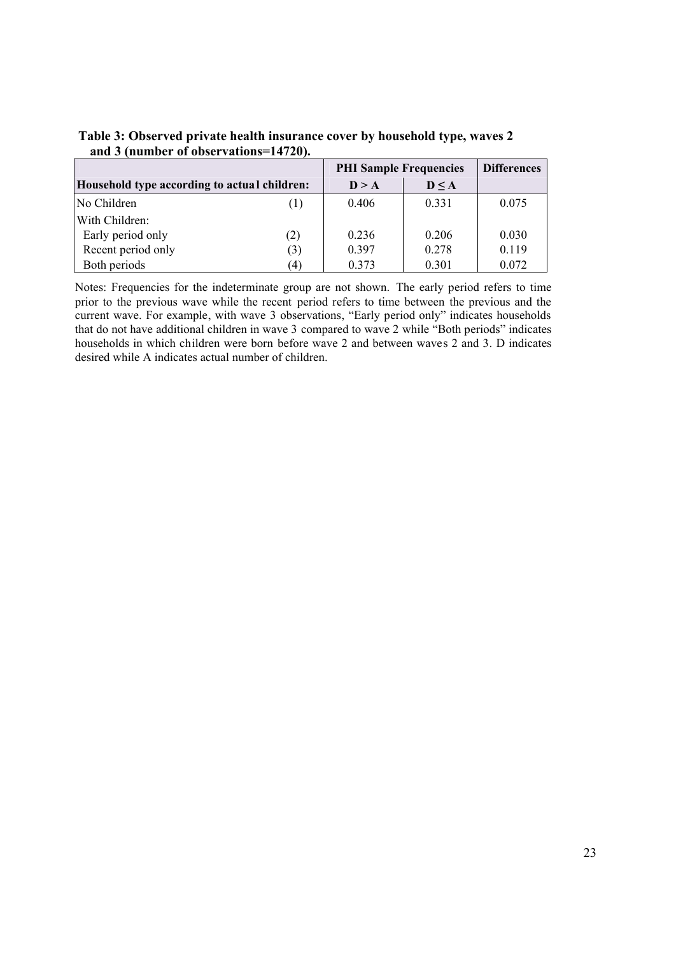|                                              |     | <b>PHI Sample Frequencies</b> | <b>Differences</b> |       |
|----------------------------------------------|-----|-------------------------------|--------------------|-------|
| Household type according to actual children: |     | D > A                         | D < A              |       |
| No Children                                  | (1) | 0.406                         | 0.331              | 0.075 |
| With Children:                               |     |                               |                    |       |
| Early period only                            | (2) | 0.236                         | 0.206              | 0.030 |
| Recent period only                           | (3) | 0.397                         | 0.278              | 0.119 |
| Both periods                                 | (4) | 0.373                         | 0.301              | 0.072 |

**Table 3: Observed private health insurance cover by household type, waves 2 and 3 (number of observations=14720).**

Notes: Frequencies for the indeterminate group are not shown. The early period refers to time prior to the previous wave while the recent period refers to time between the previous and the current wave. For example, with wave 3 observations, "Early period only" indicates households that do not have additional children in wave 3 compared to wave 2 while "Both periods" indicates households in which children were born before wave 2 and between waves 2 and 3. D indicates desired while A indicates actual number of children.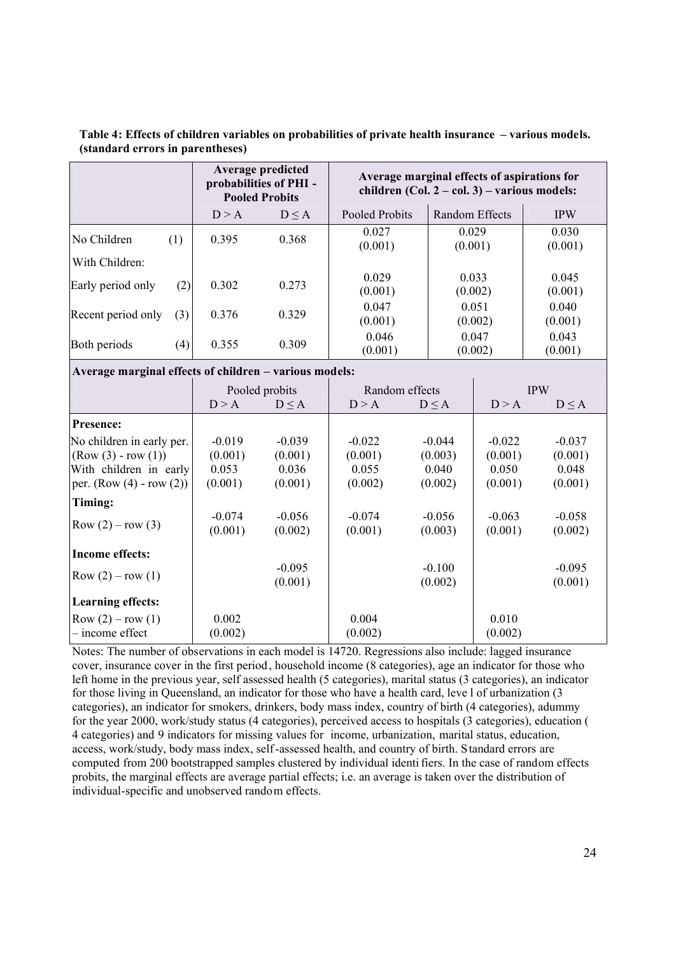**Table 4: Effects of children variables on probabilities of private health insurance – various models. (standard errors in parentheses)** 

|                                                        |     |       | Average predicted<br>probabilities of PHI -<br><b>Pooled Probits</b> | Average marginal effects of aspirations for<br>children (Col. $2 - \text{col. } 3$ ) – various models: |                |                  |                  |
|--------------------------------------------------------|-----|-------|----------------------------------------------------------------------|--------------------------------------------------------------------------------------------------------|----------------|------------------|------------------|
|                                                        |     | D > A | $D \leq A$                                                           | Pooled Probits                                                                                         | Random Effects |                  | <b>IPW</b>       |
| No Children                                            | (1) | 0.395 | 0.368                                                                | 0.027<br>(0.001)                                                                                       | 0.029          | (0.001)          | 0.030<br>(0.001) |
| With Children:                                         |     |       |                                                                      |                                                                                                        |                |                  |                  |
| Early period only                                      | (2) | 0.302 | 0.273                                                                | 0.029<br>(0.001)                                                                                       |                | 0.033<br>(0.002) | 0.045<br>(0.001) |
| Recent period only                                     | (3) | 0.376 | 0.329                                                                | 0.047<br>(0.001)                                                                                       |                | 0.051<br>(0.002) | 0.040<br>(0.001) |
| Both periods                                           | (4) | 0.355 | 0.309                                                                | 0.046<br>(0.001)                                                                                       |                | 0.047<br>(0.002) | 0.043<br>(0.001) |
| Average marginal effects of children – various models: |     |       |                                                                      |                                                                                                        |                |                  |                  |
|                                                        |     |       | Pooled probits                                                       | Random effects                                                                                         |                |                  | <b>IPW</b>       |
|                                                        |     | D > A | $D \leq A$                                                           | D > A                                                                                                  | $D \leq A$     | D > A            | $D \leq A$       |
|                                                        |     |       |                                                                      |                                                                                                        |                |                  |                  |

|                           |          | I OUICU DIODIIS | <b>INAHUOHI UHUU</b> S |          | $\mathbf{H}$ $\mathbf{V}$ |            |
|---------------------------|----------|-----------------|------------------------|----------|---------------------------|------------|
|                           | D > A    | D < A           | D > A                  | D < A    | D > A                     | $D \leq A$ |
| <b>Presence:</b>          |          |                 |                        |          |                           |            |
| No children in early per. | $-0.019$ | $-0.039$        | $-0.022$               | $-0.044$ | $-0.022$                  | $-0.037$   |
| $(Row (3) - row (1))$     | (0.001)  | (0.001)         | (0.001)                | (0.003)  | (0.001)                   | (0.001)    |
| With children in early    | 0.053    | 0.036           | 0.055                  | 0.040    | 0.050                     | 0.048      |
| per. $(Row(4) - row(2))$  | (0.001)  | (0.001)         | (0.002)                | (0.002)  | (0.001)                   | (0.001)    |
| Timing:                   |          |                 |                        |          |                           |            |
|                           | $-0.074$ | $-0.056$        | $-0.074$               | $-0.056$ | $-0.063$                  | $-0.058$   |
| Row $(2) - row(3)$        | (0.001)  | (0.002)         | (0.001)                | (0.003)  | (0.001)                   | (0.002)    |
| <b>Income effects:</b>    |          |                 |                        |          |                           |            |
|                           |          | $-0.095$        |                        | $-0.100$ |                           | $-0.095$   |
| Row $(2) - row(1)$        |          | (0.001)         |                        | (0.002)  |                           | (0.001)    |
| <b>Learning effects:</b>  |          |                 |                        |          |                           |            |
| $Row (2) - row (1)$       | 0.002    |                 | 0.004                  |          | 0.010                     |            |
| $-$ income effect         | (0.002)  |                 | (0.002)                |          | (0.002)                   |            |

Notes: The number of observations in each model is 14720. Regressions also include: lagged insurance cover, insurance cover in the first period, household income (8 categories), age an indicator for those who left home in the previous year, self assessed health (5 categories), marital status (3 categories), an indicator for those living in Queensland, an indicator for those who have a health card, leve l of urbanization (3 categories), an indicator for smokers, drinkers, body mass index, country of birth (4 categories), adummy for the year 2000, work/study status (4 categories), perceived access to hospitals (3 categories), education ( 4 categories) and 9 indicators for missing values for income, urbanization, marital status, education, access, work/study, body mass index, self-assessed health, and country of birth. Standard errors are computed from 200 bootstrapped samples clustered by individual identi fiers. In the case of random effects probits, the marginal effects are average partial effects; i.e. an average is taken over the distribution of individual-specific and unobserved random effects.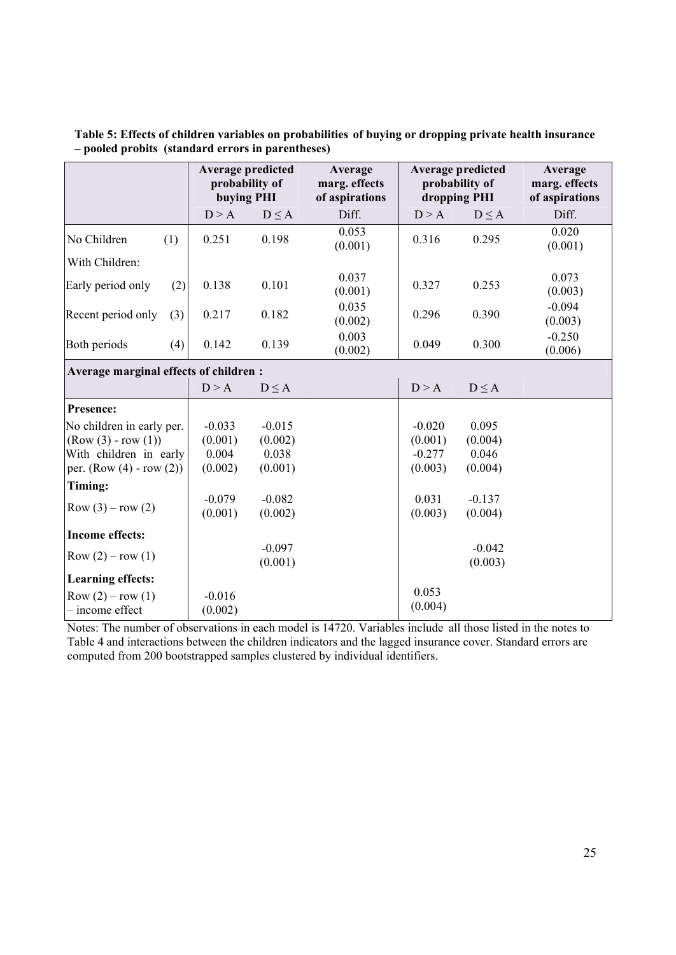|                                       | Average predicted<br>probability of<br>buying PHI |                     | Average<br>marg. effects<br>of aspirations | <b>Average predicted</b><br>probability of<br>dropping PHI |                     | Average<br>marg. effects<br>of aspirations |
|---------------------------------------|---------------------------------------------------|---------------------|--------------------------------------------|------------------------------------------------------------|---------------------|--------------------------------------------|
|                                       | D > A                                             | $D \leq A$          | Diff.                                      | D > A                                                      | $D \leq A$          | Diff.                                      |
| No Children<br>(1)                    | 0.251                                             | 0.198               | 0.053<br>(0.001)                           | 0.316                                                      | 0.295               | 0.020<br>(0.001)                           |
| With Children:                        |                                                   |                     |                                            |                                                            |                     |                                            |
| Early period only<br>(2)              | 0.138                                             | 0.101               | 0.037<br>(0.001)                           | 0.327                                                      | 0.253               | 0.073<br>(0.003)                           |
| Recent period only<br>(3)             | 0.217                                             | 0.182               | 0.035<br>(0.002)                           | 0.296                                                      | 0.390               | $-0.094$<br>(0.003)                        |
| Both periods<br>(4)                   | 0.142                                             | 0.139               | 0.003<br>(0.002)                           | 0.049                                                      | 0.300               | $-0.250$<br>(0.006)                        |
| Average marginal effects of children: |                                                   |                     |                                            |                                                            |                     |                                            |
|                                       | D > A                                             | $D \leq A$          |                                            | D > A                                                      | $D \leq A$          |                                            |
| Presence:                             |                                                   |                     |                                            |                                                            |                     |                                            |
| No children in early per.             | $-0.033$                                          | $-0.015$            |                                            | $-0.020$                                                   | 0.095               |                                            |
| $(Row(3) - row(1))$                   | (0.001)                                           | (0.002)             |                                            | (0.001)                                                    | (0.004)             |                                            |
| With children in early                | 0.004                                             | 0.038               |                                            | $-0.277$                                                   | 0.046               |                                            |
| per. $(Row(4) - row(2))$              | (0.002)                                           | (0.001)             |                                            | (0.003)                                                    | (0.004)             |                                            |
| Timing:                               |                                                   |                     |                                            |                                                            |                     |                                            |
| Row $(3) - row(2)$                    | $-0.079$<br>(0.001)                               | $-0.082$<br>(0.002) |                                            | 0.031<br>(0.003)                                           | $-0.137$<br>(0.004) |                                            |
| <b>Income effects:</b>                |                                                   |                     |                                            |                                                            |                     |                                            |
| Row $(2) - row(1)$                    |                                                   | $-0.097$<br>(0.001) |                                            |                                                            | $-0.042$<br>(0.003) |                                            |
| <b>Learning effects:</b>              |                                                   |                     |                                            |                                                            |                     |                                            |
| Row $(2) - row(1)$<br>- income effect | $-0.016$<br>(0.002)                               |                     |                                            | 0.053<br>(0.004)                                           |                     |                                            |

**Table 5: Effects of children variables on probabilities of buying or dropping private health insurance – pooled probits (standard errors in parentheses)** 

Notes: The number of observations in each model is 14720. Variables include all those listed in the notes to Table 4 and interactions between the children indicators and the lagged insurance cover. Standard errors are computed from 200 bootstrapped samples clustered by individual identifiers.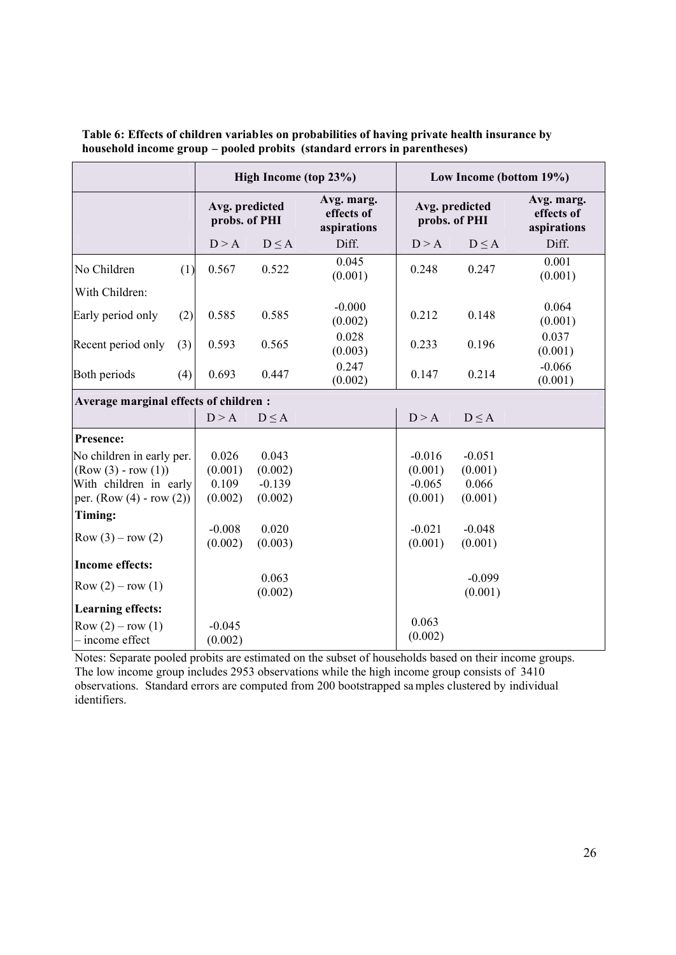|                                        |     |                                 |            | High Income (top 23%)                   |          | Low Income (bottom 19%)         |                                         |  |
|----------------------------------------|-----|---------------------------------|------------|-----------------------------------------|----------|---------------------------------|-----------------------------------------|--|
|                                        |     | Avg. predicted<br>probs. of PHI |            | Avg. marg.<br>effects of<br>aspirations |          | Avg. predicted<br>probs. of PHI | Avg. marg.<br>effects of<br>aspirations |  |
|                                        |     | D > A                           | $D \leq A$ | Diff.                                   | D > A    | $D \leq A$                      | Diff.                                   |  |
| No Children                            | (1) | 0.567                           | 0.522      | 0.045<br>(0.001)                        | 0.248    | 0.247                           | 0.001<br>(0.001)                        |  |
| With Children:                         |     |                                 |            |                                         |          |                                 |                                         |  |
| Early period only                      | (2) | 0.585                           | 0.585      | $-0.000$<br>(0.002)                     | 0.212    | 0.148                           | 0.064<br>(0.001)                        |  |
| Recent period only                     | (3) | 0.593                           | 0.565      | 0.028<br>(0.003)                        | 0.233    | 0.196                           | 0.037<br>(0.001)                        |  |
| Both periods                           | (4) | 0.693                           | 0.447      | 0.247<br>(0.002)                        | 0.147    | 0.214                           | $-0.066$<br>(0.001)                     |  |
| Average marginal effects of children : |     |                                 |            |                                         |          |                                 |                                         |  |
|                                        |     | D > A                           | $D \leq A$ |                                         | D > A    | $D \leq A$                      |                                         |  |
| Presence:                              |     |                                 |            |                                         |          |                                 |                                         |  |
| No children in early per.              |     | 0.026                           | 0.043      |                                         | $-0.016$ | $-0.051$                        |                                         |  |
| $(Row (3) - row (1))$                  |     | (0.001)                         | (0.002)    |                                         | (0.001)  | (0.001)                         |                                         |  |
| With children in early                 |     | 0.109                           | $-0.139$   |                                         | $-0.065$ | 0.066                           |                                         |  |
| per. $(Row(4) - row(2))$               |     | (0.002)                         | (0.002)    |                                         | (0.001)  | (0.001)                         |                                         |  |
| Timing:                                |     |                                 |            |                                         |          |                                 |                                         |  |
| Row $(3) - row(2)$                     |     | $-0.008$                        | 0.020      |                                         | $-0.021$ | $-0.048$                        |                                         |  |
|                                        |     | (0.002)                         | (0.003)    |                                         | (0.001)  | (0.001)                         |                                         |  |
| <b>Income effects:</b>                 |     |                                 |            |                                         |          |                                 |                                         |  |
| Row $(2) - row(1)$                     |     |                                 | 0.063      |                                         |          | $-0.099$                        |                                         |  |
|                                        |     |                                 | (0.002)    |                                         |          | (0.001)                         |                                         |  |
| <b>Learning effects:</b>               |     |                                 |            |                                         |          |                                 |                                         |  |
| Row $(2) - row(1)$                     |     | $-0.045$                        |            |                                         | 0.063    |                                 |                                         |  |
| - income effect                        |     | (0.002)                         |            |                                         | (0.002)  |                                 |                                         |  |

**Table 6: Effects of children variables on probabilities of having private health insurance by household income group – pooled probits (standard errors in parentheses)** 

Notes: Separate pooled probits are estimated on the subset of households based on their income groups. The low income group includes 2953 observations while the high income group consists of 3410 observations. Standard errors are computed from 200 bootstrapped samples clustered by individual identifiers.